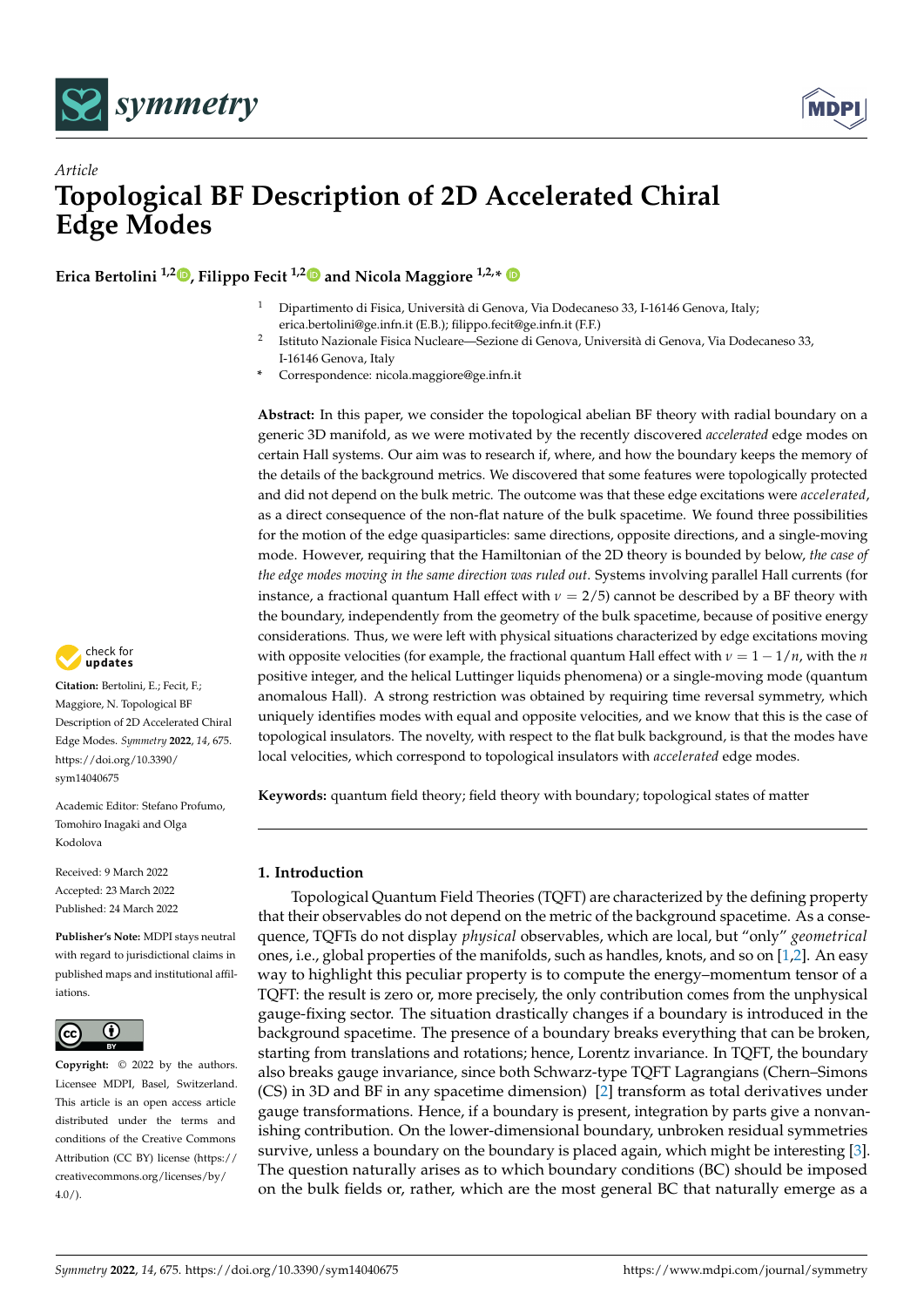

# *Article* **Topological BF Description of 2D Accelerated Chiral Edge Modes**

**Erica Bertolini 1,2 [,](https://orcid.org/0000-0003-0773-7526) Filippo Fecit 1,[2](https://orcid.org/0000-0002-9736-9239) and Nicola Maggiore 1,2,\***

- <sup>1</sup> Dipartimento di Fisica, Università di Genova, Via Dodecaneso 33, I-16146 Genova, Italy; erica.bertolini@ge.infn.it (E.B.); filippo.fecit@ge.infn.it (F.F.)
- $\overline{2}$ Istituto Nazionale Fisica Nucleare—Sezione di Genova, Università di Genova, Via Dodecaneso 33, I-16146 Genova, Italy
- **\*** Correspondence: nicola.maggiore@ge.infn.it

**Abstract:** In this paper, we consider the topological abelian BF theory with radial boundary on a generic 3D manifold, as we were motivated by the recently discovered *accelerated* edge modes on certain Hall systems. Our aim was to research if, where, and how the boundary keeps the memory of the details of the background metrics. We discovered that some features were topologically protected and did not depend on the bulk metric. The outcome was that these edge excitations were *accelerated*, as a direct consequence of the non-flat nature of the bulk spacetime. We found three possibilities for the motion of the edge quasiparticles: same directions, opposite directions, and a single-moving mode. However, requiring that the Hamiltonian of the 2D theory is bounded by below, *the case of the edge modes moving in the same direction was ruled out*. Systems involving parallel Hall currents (for instance, a fractional quantum Hall effect with  $\nu = 2/5$ ) cannot be described by a BF theory with the boundary, independently from the geometry of the bulk spacetime, because of positive energy considerations. Thus, we were left with physical situations characterized by edge excitations moving with opposite velocities (for example, the fractional quantum Hall effect with  $\nu = 1 - \frac{1}{n}$ , with the *n* positive integer, and the helical Luttinger liquids phenomena) or a single-moving mode (quantum anomalous Hall). A strong restriction was obtained by requiring time reversal symmetry, which uniquely identifies modes with equal and opposite velocities, and we know that this is the case of topological insulators. The novelty, with respect to the flat bulk background, is that the modes have local velocities, which correspond to topological insulators with *accelerated* edge modes.

**Keywords:** quantum field theory; field theory with boundary; topological states of matter

# **1. Introduction**

Topological Quantum Field Theories (TQFT) are characterized by the defining property that their observables do not depend on the metric of the background spacetime. As a consequence, TQFTs do not display *physical* observables, which are local, but "only" *geometrical* ones, i.e., global properties of the manifolds, such as handles, knots, and so on [\[1,](#page-20-0)[2\]](#page-20-1). An easy way to highlight this peculiar property is to compute the energy–momentum tensor of a TQFT: the result is zero or, more precisely, the only contribution comes from the unphysical gauge-fixing sector. The situation drastically changes if a boundary is introduced in the background spacetime. The presence of a boundary breaks everything that can be broken, starting from translations and rotations; hence, Lorentz invariance. In TQFT, the boundary also breaks gauge invariance, since both Schwarz-type TQFT Lagrangians (Chern–Simons (CS) in 3D and BF in any spacetime dimension) [\[2\]](#page-20-1) transform as total derivatives under gauge transformations. Hence, if a boundary is present, integration by parts give a nonvanishing contribution. On the lower-dimensional boundary, unbroken residual symmetries survive, unless a boundary on the boundary is placed again, which might be interesting [\[3\]](#page-20-2). The question naturally arises as to which boundary conditions (BC) should be imposed on the bulk fields or, rather, which are the most general BC that naturally emerge as a



**Citation:** Bertolini, E.; Fecit, F.; Maggiore, N. Topological BF Description of 2D Accelerated Chiral Edge Modes. *Symmetry* **2022**, *14*, 675. [https://doi.org/10.3390/](https://doi.org/10.3390/sym14040675) [sym14040675](https://doi.org/10.3390/sym14040675)

Academic Editor: Stefano Profumo, Tomohiro Inagaki and Olga Kodolova

Received: 9 March 2022 Accepted: 23 March 2022 Published: 24 March 2022

**Publisher's Note:** MDPI stays neutral with regard to jurisdictional claims in published maps and institutional affiliations.



**Copyright:** © 2022 by the authors. Licensee MDPI, Basel, Switzerland. This article is an open access article distributed under the terms and conditions of the Creative Commons Attribution (CC BY) license [\(https://](https://creativecommons.org/licenses/by/4.0/) [creativecommons.org/licenses/by/](https://creativecommons.org/licenses/by/4.0/)  $4.0/$ ).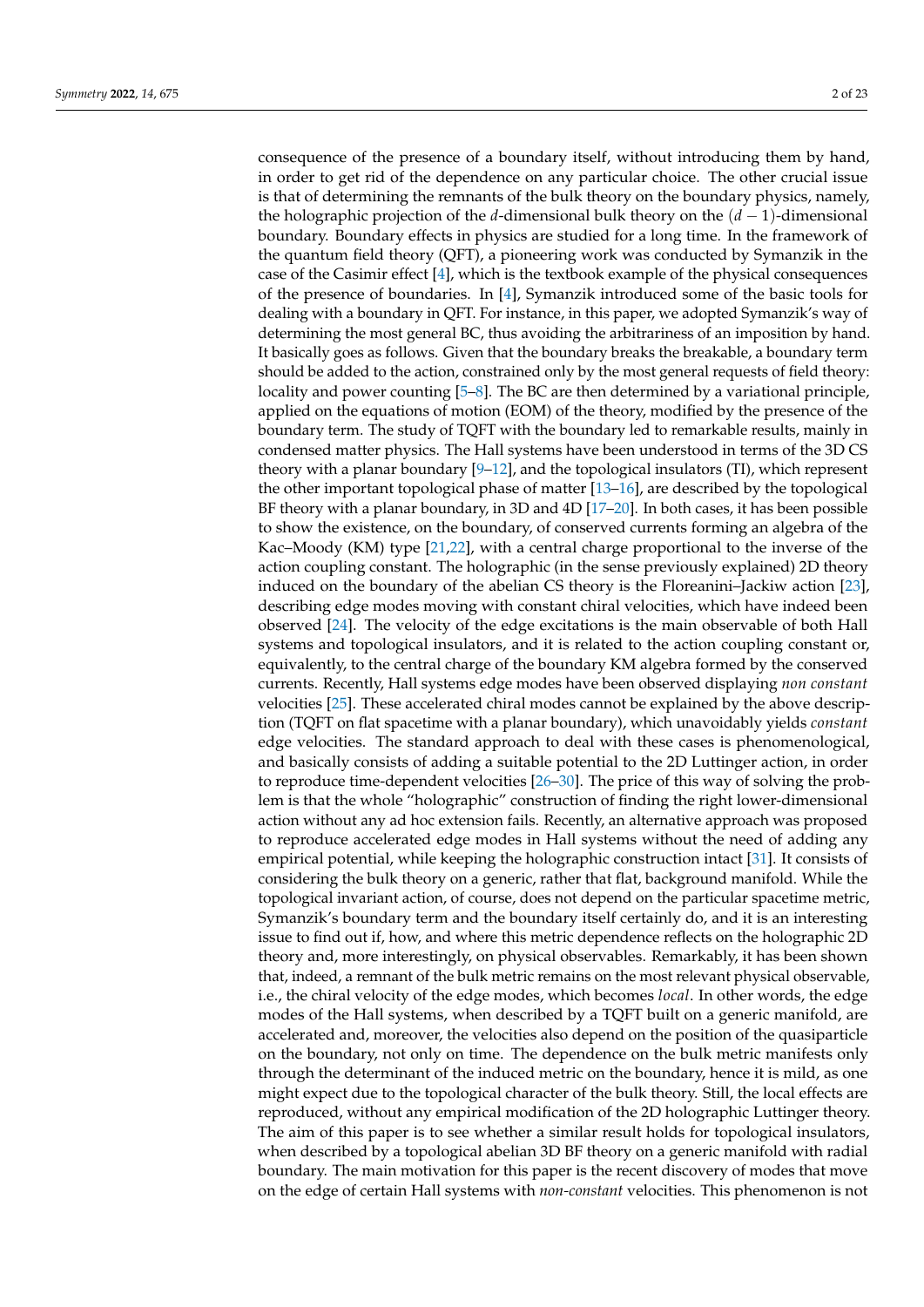consequence of the presence of a boundary itself, without introducing them by hand, in order to get rid of the dependence on any particular choice. The other crucial issue is that of determining the remnants of the bulk theory on the boundary physics, namely, the holographic projection of the *d*-dimensional bulk theory on the (*d* − 1)-dimensional boundary. Boundary effects in physics are studied for a long time. In the framework of the quantum field theory (QFT), a pioneering work was conducted by Symanzik in the case of the Casimir effect [\[4\]](#page-20-3), which is the textbook example of the physical consequences of the presence of boundaries. In [\[4\]](#page-20-3), Symanzik introduced some of the basic tools for dealing with a boundary in QFT. For instance, in this paper, we adopted Symanzik's way of determining the most general BC, thus avoiding the arbitrariness of an imposition by hand. It basically goes as follows. Given that the boundary breaks the breakable, a boundary term should be added to the action, constrained only by the most general requests of field theory: locality and power counting [\[5–](#page-20-4)[8\]](#page-20-5). The BC are then determined by a variational principle, applied on the equations of motion (EOM) of the theory, modified by the presence of the boundary term. The study of TQFT with the boundary led to remarkable results, mainly in condensed matter physics. The Hall systems have been understood in terms of the 3D CS theory with a planar boundary [\[9](#page-20-6)[–12\]](#page-20-7), and the topological insulators (TI), which represent the other important topological phase of matter [\[13–](#page-21-0)[16\]](#page-21-1), are described by the topological BF theory with a planar boundary, in 3D and 4D [\[17–](#page-21-2)[20\]](#page-21-3). In both cases, it has been possible to show the existence, on the boundary, of conserved currents forming an algebra of the Kac–Moody (KM) type [\[21](#page-21-4)[,22\]](#page-21-5), with a central charge proportional to the inverse of the action coupling constant. The holographic (in the sense previously explained) 2D theory induced on the boundary of the abelian CS theory is the Floreanini–Jackiw action [\[23\]](#page-21-6), describing edge modes moving with constant chiral velocities, which have indeed been observed [\[24\]](#page-21-7). The velocity of the edge excitations is the main observable of both Hall systems and topological insulators, and it is related to the action coupling constant or, equivalently, to the central charge of the boundary KM algebra formed by the conserved currents. Recently, Hall systems edge modes have been observed displaying *non constant* velocities [\[25\]](#page-21-8). These accelerated chiral modes cannot be explained by the above description (TQFT on flat spacetime with a planar boundary), which unavoidably yields *constant* edge velocities. The standard approach to deal with these cases is phenomenological, and basically consists of adding a suitable potential to the 2D Luttinger action, in order to reproduce time-dependent velocities [\[26](#page-21-9)[–30\]](#page-21-10). The price of this way of solving the problem is that the whole "holographic" construction of finding the right lower-dimensional action without any ad hoc extension fails. Recently, an alternative approach was proposed to reproduce accelerated edge modes in Hall systems without the need of adding any empirical potential, while keeping the holographic construction intact [\[31\]](#page-21-11). It consists of considering the bulk theory on a generic, rather that flat, background manifold. While the topological invariant action, of course, does not depend on the particular spacetime metric, Symanzik's boundary term and the boundary itself certainly do, and it is an interesting issue to find out if, how, and where this metric dependence reflects on the holographic 2D theory and, more interestingly, on physical observables. Remarkably, it has been shown that, indeed, a remnant of the bulk metric remains on the most relevant physical observable, i.e., the chiral velocity of the edge modes, which becomes *local*. In other words, the edge modes of the Hall systems, when described by a TQFT built on a generic manifold, are accelerated and, moreover, the velocities also depend on the position of the quasiparticle on the boundary, not only on time. The dependence on the bulk metric manifests only through the determinant of the induced metric on the boundary, hence it is mild, as one might expect due to the topological character of the bulk theory. Still, the local effects are reproduced, without any empirical modification of the 2D holographic Luttinger theory. The aim of this paper is to see whether a similar result holds for topological insulators, when described by a topological abelian 3D BF theory on a generic manifold with radial boundary. The main motivation for this paper is the recent discovery of modes that move on the edge of certain Hall systems with *non-constant* velocities. This phenomenon is not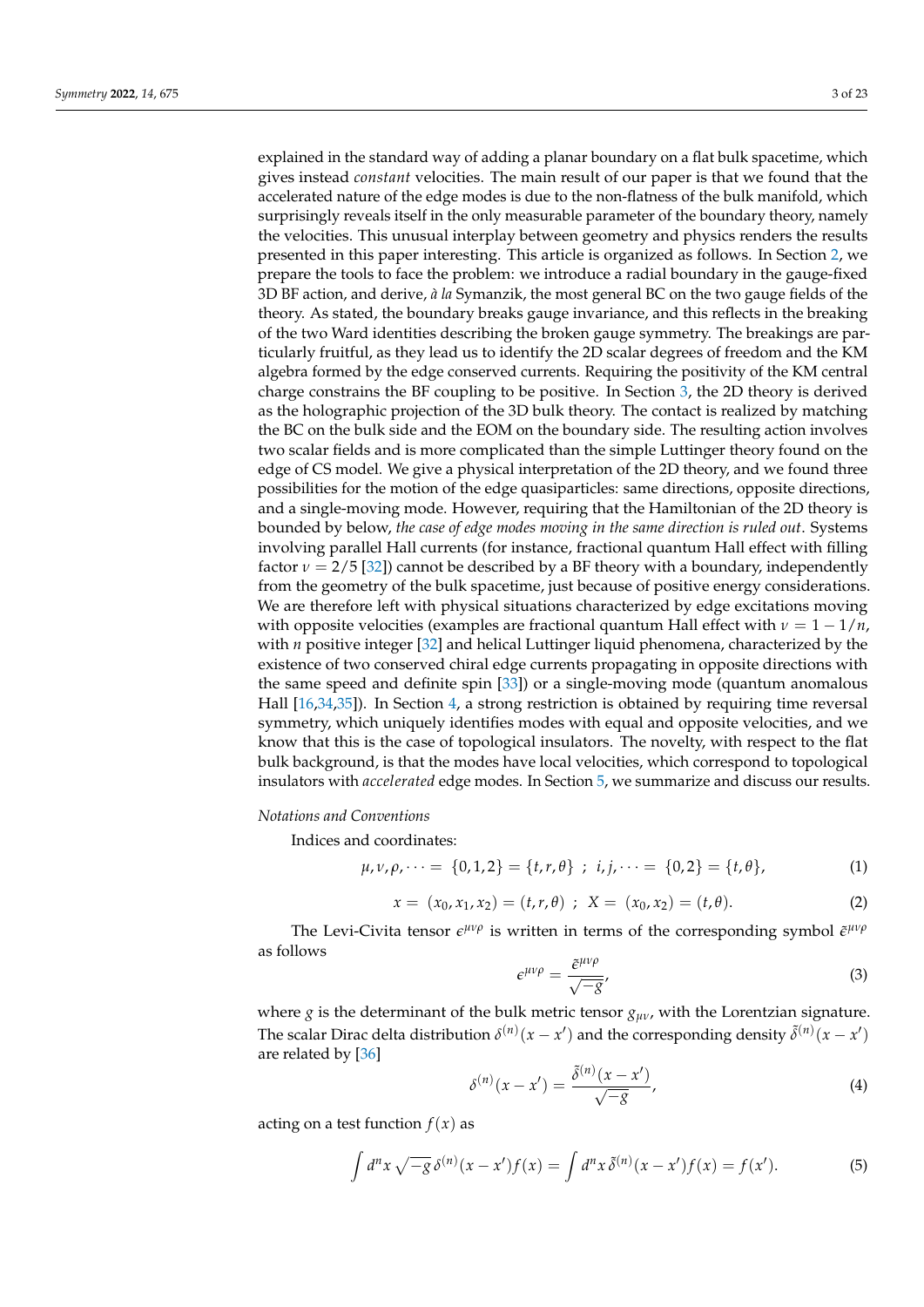explained in the standard way of adding a planar boundary on a flat bulk spacetime, which gives instead *constant* velocities. The main result of our paper is that we found that the accelerated nature of the edge modes is due to the non-flatness of the bulk manifold, which surprisingly reveals itself in the only measurable parameter of the boundary theory, namely the velocities. This unusual interplay between geometry and physics renders the results presented in this paper interesting. This article is organized as follows. In Section [2,](#page-3-0) we prepare the tools to face the problem: we introduce a radial boundary in the gauge-fixed 3D BF action, and derive, *à la* Symanzik, the most general BC on the two gauge fields of the theory. As stated, the boundary breaks gauge invariance, and this reflects in the breaking of the two Ward identities describing the broken gauge symmetry. The breakings are particularly fruitful, as they lead us to identify the 2D scalar degrees of freedom and the KM algebra formed by the edge conserved currents. Requiring the positivity of the KM central charge constrains the BF coupling to be positive. In Section [3,](#page-8-0) the 2D theory is derived as the holographic projection of the 3D bulk theory. The contact is realized by matching the BC on the bulk side and the EOM on the boundary side. The resulting action involves two scalar fields and is more complicated than the simple Luttinger theory found on the edge of CS model. We give a physical interpretation of the 2D theory, and we found three possibilities for the motion of the edge quasiparticles: same directions, opposite directions, and a single-moving mode. However, requiring that the Hamiltonian of the 2D theory is bounded by below, *the case of edge modes moving in the same direction is ruled out*. Systems involving parallel Hall currents (for instance, fractional quantum Hall effect with filling factor  $v = 2/5$  [\[32\]](#page-21-12)) cannot be described by a BF theory with a boundary, independently from the geometry of the bulk spacetime, just because of positive energy considerations. We are therefore left with physical situations characterized by edge excitations moving with opposite velocities (examples are fractional quantum Hall effect with  $\nu = 1 - 1/n$ , with *n* positive integer [\[32\]](#page-21-12) and helical Luttinger liquid phenomena, characterized by the existence of two conserved chiral edge currents propagating in opposite directions with the same speed and definite spin [\[33\]](#page-21-13)) or a single-moving mode (quantum anomalous Hall [\[16,](#page-21-1)[34](#page-21-14)[,35\]](#page-21-15)). In Section [4,](#page-14-0) a strong restriction is obtained by requiring time reversal symmetry, which uniquely identifies modes with equal and opposite velocities, and we know that this is the case of topological insulators. The novelty, with respect to the flat bulk background, is that the modes have local velocities, which correspond to topological insulators with *accelerated* edge modes. In Section [5,](#page-18-0) we summarize and discuss our results.

*Notations and Conventions*

Indices and coordinates:

$$
\mu, \nu, \rho, \dots = \{0, 1, 2\} = \{t, r, \theta\} \; ; \; i, j, \dots = \{0, 2\} = \{t, \theta\}, \tag{1}
$$

$$
x = (x_0, x_1, x_2) = (t, r, \theta) \; ; \; X = (x_0, x_2) = (t, \theta). \tag{2}
$$

The Levi-Civita tensor  $\epsilon^{\mu\nu\rho}$  is written in terms of the corresponding symbol  $\tilde{\epsilon}^{\mu\nu\rho}$ as follows

$$
\epsilon^{\mu\nu\rho} = \frac{\tilde{\epsilon}^{\mu\nu\rho}}{\sqrt{-g}},\tag{3}
$$

where *g* is the determinant of the bulk metric tensor  $g_{\mu\nu}$ , with the Lorentzian signature. The scalar Dirac delta distribution  $\delta^{(n)}(x-x')$  and the corresponding density  $\tilde{\delta}^{(n)}(x-x')$ are related by [\[36\]](#page-21-16)

<span id="page-2-0"></span>
$$
\delta^{(n)}(x - x') = \frac{\tilde{\delta}^{(n)}(x - x')}{\sqrt{-g}},
$$
\n(4)

acting on a test function  $f(x)$  as

$$
\int d^n x \sqrt{-g} \,\delta^{(n)}(x-x') f(x) = \int d^n x \,\delta^{(n)}(x-x') f(x) = f(x'). \tag{5}
$$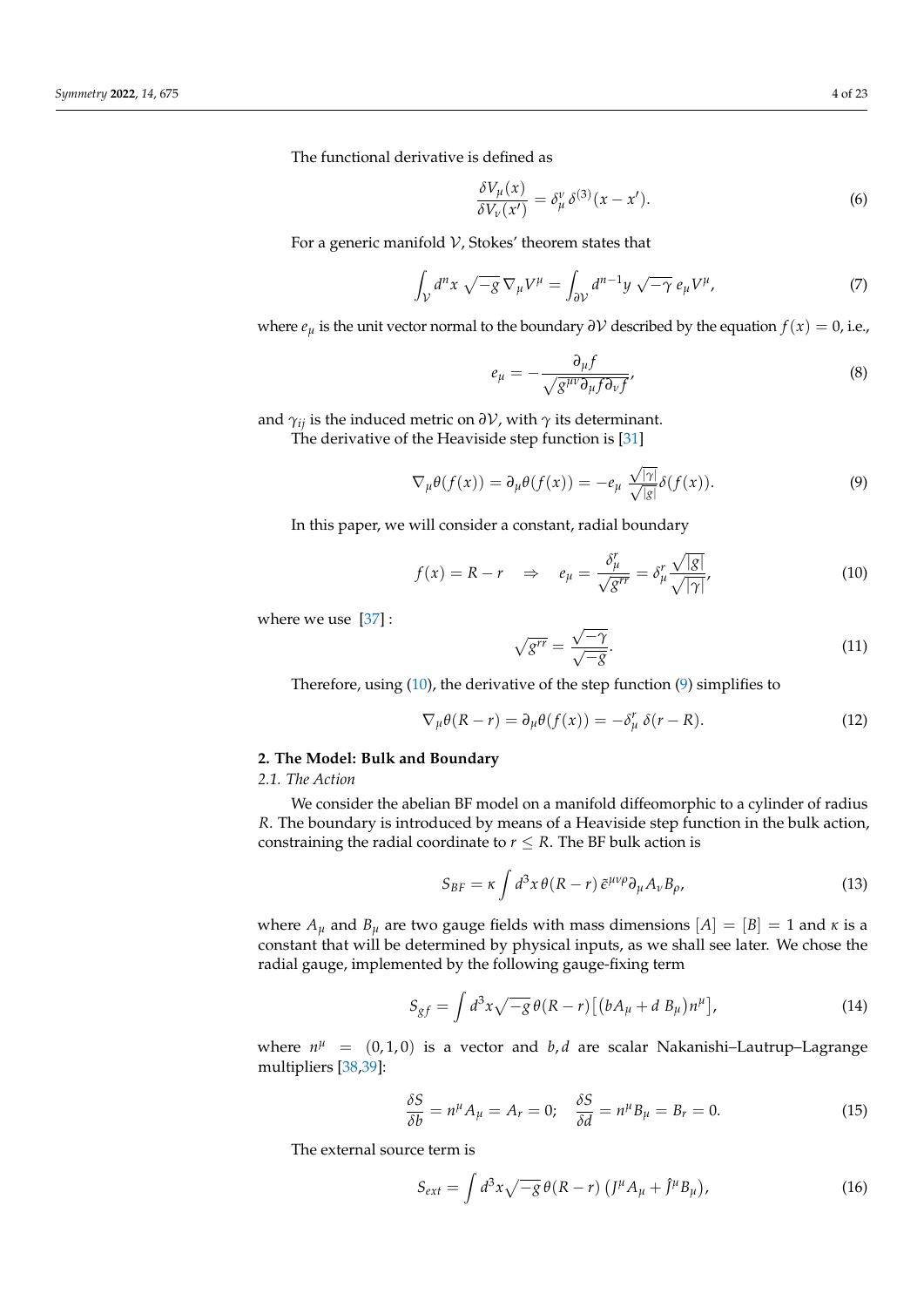The functional derivative is defined as

$$
\frac{\delta V_{\mu}(x)}{\delta V_{\nu}(x')} = \delta_{\mu}^{\nu} \delta^{(3)}(x - x'). \tag{6}
$$

For a generic manifold  $V$ , Stokes' theorem states that

$$
\int_{\mathcal{V}} d^n x \sqrt{-g} \nabla_{\mu} V^{\mu} = \int_{\partial \mathcal{V}} d^{n-1} y \sqrt{-\gamma} e_{\mu} V^{\mu}, \tag{7}
$$

where  $e_{\mu}$  is the unit vector normal to the boundary  $\partial V$  described by the equation  $f(x) = 0$ , i.e.,

$$
e_{\mu} = -\frac{\partial_{\mu}f}{\sqrt{g^{\mu\nu}\partial_{\mu}f\partial_{\nu}f}},\tag{8}
$$

and  $\gamma_{ii}$  is the induced metric on  $\partial V$ , with  $\gamma$  its determinant.

The derivative of the Heaviside step function is [\[31\]](#page-21-11)

<span id="page-3-2"></span>
$$
\nabla_{\mu}\theta(f(x)) = \partial_{\mu}\theta(f(x)) = -e_{\mu} \frac{\sqrt{|\gamma|}}{\sqrt{|g|}} \delta(f(x)).
$$
\n(9)

In this paper, we will consider a constant, radial boundary

<span id="page-3-1"></span>
$$
f(x) = R - r \quad \Rightarrow \quad e_{\mu} = \frac{\delta_{\mu}^{r}}{\sqrt{g^{rr}}} = \delta_{\mu}^{r} \frac{\sqrt{|g|}}{\sqrt{|\gamma|}},
$$
 (10)

where we use [\[37\]](#page-21-17):

<span id="page-3-4"></span>
$$
\sqrt{g^{rr}} = \frac{\sqrt{-\gamma}}{\sqrt{-g}}.\tag{11}
$$

Therefore, using [\(10\)](#page-3-1), the derivative of the step function [\(9\)](#page-3-2) simplifies to

<span id="page-3-3"></span>
$$
\nabla_{\mu}\theta(R-r) = \partial_{\mu}\theta(f(x)) = -\delta_{\mu}^{r} \delta(r-R). \tag{12}
$$

# <span id="page-3-0"></span>**2. The Model: Bulk and Boundary**

# *2.1. The Action*

We consider the abelian BF model on a manifold diffeomorphic to a cylinder of radius *R*. The boundary is introduced by means of a Heaviside step function in the bulk action, constraining the radial coordinate to  $r \leq R$ . The BF bulk action is

<span id="page-3-5"></span>
$$
S_{BF} = \kappa \int d^3x \,\theta (R - r) \,\tilde{\epsilon}^{\mu\nu\rho} \partial_\mu A_\nu B_\rho,\tag{13}
$$

where  $A_\mu$  and  $B_\mu$  are two gauge fields with mass dimensions  $[A] = [B] = 1$  and  $\kappa$  is a constant that will be determined by physical inputs, as we shall see later. We chose the radial gauge, implemented by the following gauge-fixing term

$$
S_{gf} = \int d^3x \sqrt{-g} \,\theta(R-r) \left[ \left( bA_\mu + d B_\mu \right) n^\mu \right],\tag{14}
$$

where  $n^{\mu}$  =  $(0,1,0)$  is a vector and *b*, *d* are scalar Nakanishi-Lautrup-Lagrange multipliers [\[38,](#page-21-18)[39\]](#page-21-19):

$$
\frac{\delta S}{\delta b} = n^{\mu} A_{\mu} = A_{r} = 0; \quad \frac{\delta S}{\delta d} = n^{\mu} B_{\mu} = B_{r} = 0. \tag{15}
$$

The external source term is

$$
S_{ext} = \int d^3x \sqrt{-g} \,\theta(R-r) \left( J^\mu A_\mu + \hat{J}^\mu B_\mu \right),\tag{16}
$$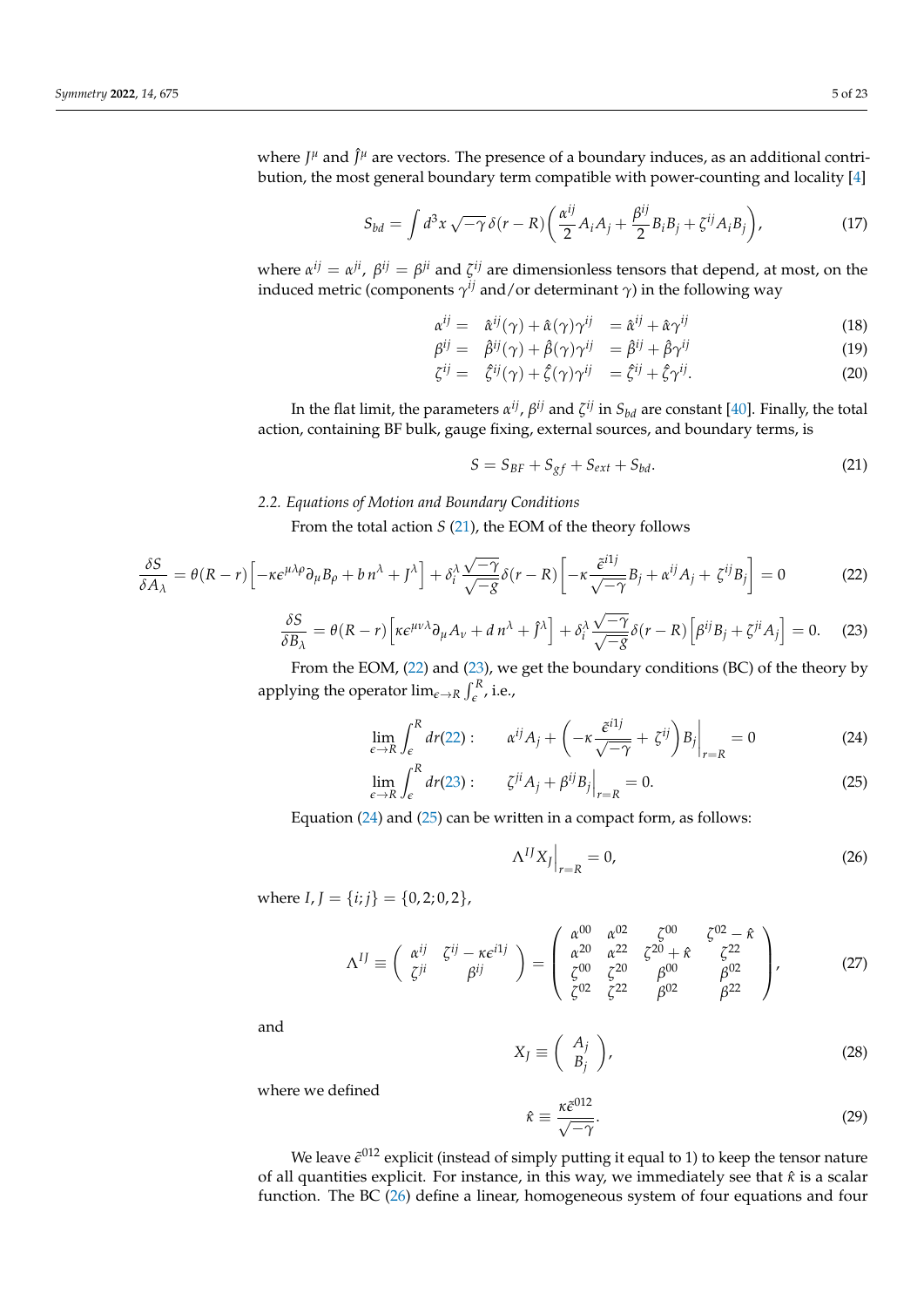where  $J^{\mu}$  and  $\hat{J}^{\mu}$  are vectors. The presence of a boundary induces, as an additional contribution, the most general boundary term compatible with power-counting and locality [\[4\]](#page-20-3)

<span id="page-4-6"></span>
$$
S_{bd} = \int d^3x \sqrt{-\gamma} \,\delta(r - R) \left( \frac{\alpha^{ij}}{2} A_i A_j + \frac{\beta^{ij}}{2} B_i B_j + \zeta^{ij} A_i B_j \right),\tag{17}
$$

where  $\alpha^{ij} = \alpha^{ji}$ ,  $\beta^{ij} = \beta^{ji}$  and  $\zeta^{ij}$  are dimensionless tensors that depend, at most, on the induced metric (components  $\gamma^{ij}$  and/or determinant  $\gamma$ ) in the following way

<span id="page-4-8"></span>
$$
\alpha^{ij} = \hat{\alpha}^{ij}(\gamma) + \hat{\alpha}(\gamma)\gamma^{ij} = \hat{\alpha}^{ij} + \hat{\alpha}\gamma^{ij}
$$
\n(18)

$$
\beta^{ij} = \hat{\beta}^{ij}(\gamma) + \hat{\beta}(\gamma)\gamma^{ij} = \hat{\beta}^{ij} + \hat{\beta}\gamma^{ij}
$$
\n(19)

$$
\zeta^{ij} = \hat{\zeta}^{ij}(\gamma) + \hat{\zeta}(\gamma)\gamma^{ij} = \hat{\zeta}^{ij} + \hat{\zeta}\gamma^{ij}.
$$
 (20)

In the flat limit, the parameters  $\alpha^{ij}$ ,  $\beta^{ij}$  and  $\zeta^{ij}$  in  $S_{bd}$  are constant [\[40\]](#page-21-20). Finally, the total action, containing BF bulk, gauge fixing, external sources, and boundary terms, is

<span id="page-4-0"></span>
$$
S = S_{BF} + S_{gf} + S_{ext} + S_{bd}.
$$
\n(21)

# *2.2. Equations of Motion and Boundary Conditions*

From the total action *S* [\(21\)](#page-4-0), the EOM of the theory follows

<span id="page-4-1"></span>
$$
\frac{\delta S}{\delta A_{\lambda}} = \theta (R - r) \left[ -\kappa \epsilon^{\mu \lambda \rho} \partial_{\mu} B_{\rho} + b \, n^{\lambda} + J^{\lambda} \right] + \delta_{i}^{\lambda} \frac{\sqrt{-\gamma}}{\sqrt{-g}} \delta(r - R) \left[ -\kappa \frac{\tilde{\epsilon}^{i1j}}{\sqrt{-\gamma}} B_{j} + \alpha^{ij} A_{j} + \zeta^{ij} B_{j} \right] = 0 \tag{22}
$$

<span id="page-4-2"></span>
$$
\frac{\delta S}{\delta B_{\lambda}} = \theta (R - r) \left[ \kappa \epsilon^{\mu \nu \lambda} \partial_{\mu} A_{\nu} + d \, n^{\lambda} + \hat{J}^{\lambda} \right] + \delta_i^{\lambda} \frac{\sqrt{-\gamma}}{\sqrt{-g}} \delta(r - R) \left[ \beta^{ij} B_j + \zeta^{ji} A_j \right] = 0. \tag{23}
$$

From the EOM, [\(22\)](#page-4-1) and [\(23\)](#page-4-2), we get the boundary conditions (BC) of the theory by applying the operator  $\lim_{\epsilon \to R} \int_{\epsilon}^{R}$ , i.e.,

$$
\lim_{\epsilon \to R} \int_{\epsilon}^{R} dr(22) : \qquad \alpha^{ij} A_j + \left( -\kappa \frac{\tilde{\epsilon}^{i1j}}{\sqrt{-\gamma}} + \zeta^{ij} \right) B_j \Big|_{r=R} = 0 \tag{24}
$$

$$
\lim_{\epsilon \to R} \int_{\epsilon}^{R} dr(23) : \qquad \zeta^{ji} A_j + \beta^{ij} B_j \Big|_{r=R} = 0. \tag{25}
$$

Equation  $(24)$  and  $(25)$  can be written in a compact form, as follows:

<span id="page-4-5"></span>Λ

<span id="page-4-4"></span><span id="page-4-3"></span>
$$
\left.\Delta^{IJ}X_J\right|_{r=R}=0,\tag{26}
$$

where  $I, I = \{i; j\} = \{0, 2; 0, 2\},\$ 

<span id="page-4-9"></span>
$$
\Lambda^{IJ} \equiv \begin{pmatrix} \alpha^{ij} & \zeta^{ij} - \kappa \epsilon^{i1j} \\ \zeta^{ji} & \beta^{ij} \end{pmatrix} = \begin{pmatrix} \alpha^{00} & \alpha^{02} & \zeta^{00} & \zeta^{02} - \hat{\kappa} \\ \alpha^{20} & \alpha^{22} & \zeta^{20} + \hat{\kappa} & \zeta^{22} \\ \zeta^{00} & \zeta^{20} & \beta^{00} & \beta^{02} \\ \zeta^{02} & \zeta^{22} & \beta^{02} & \beta^{22} \end{pmatrix},
$$
(27)

and

$$
X_J \equiv \left(\begin{array}{c} A_j \\ B_j \end{array}\right),\tag{28}
$$

where we defined

<span id="page-4-7"></span>
$$
\hat{\kappa} \equiv \frac{\kappa \tilde{\epsilon}^{012}}{\sqrt{-\gamma}}.
$$
\n(29)

We leave  $\tilde{\epsilon}^{012}$  explicit (instead of simply putting it equal to 1) to keep the tensor nature of all quantities explicit. For instance, in this way, we immediately see that *κ*ˆ is a scalar function. The BC [\(26\)](#page-4-5) define a linear, homogeneous system of four equations and four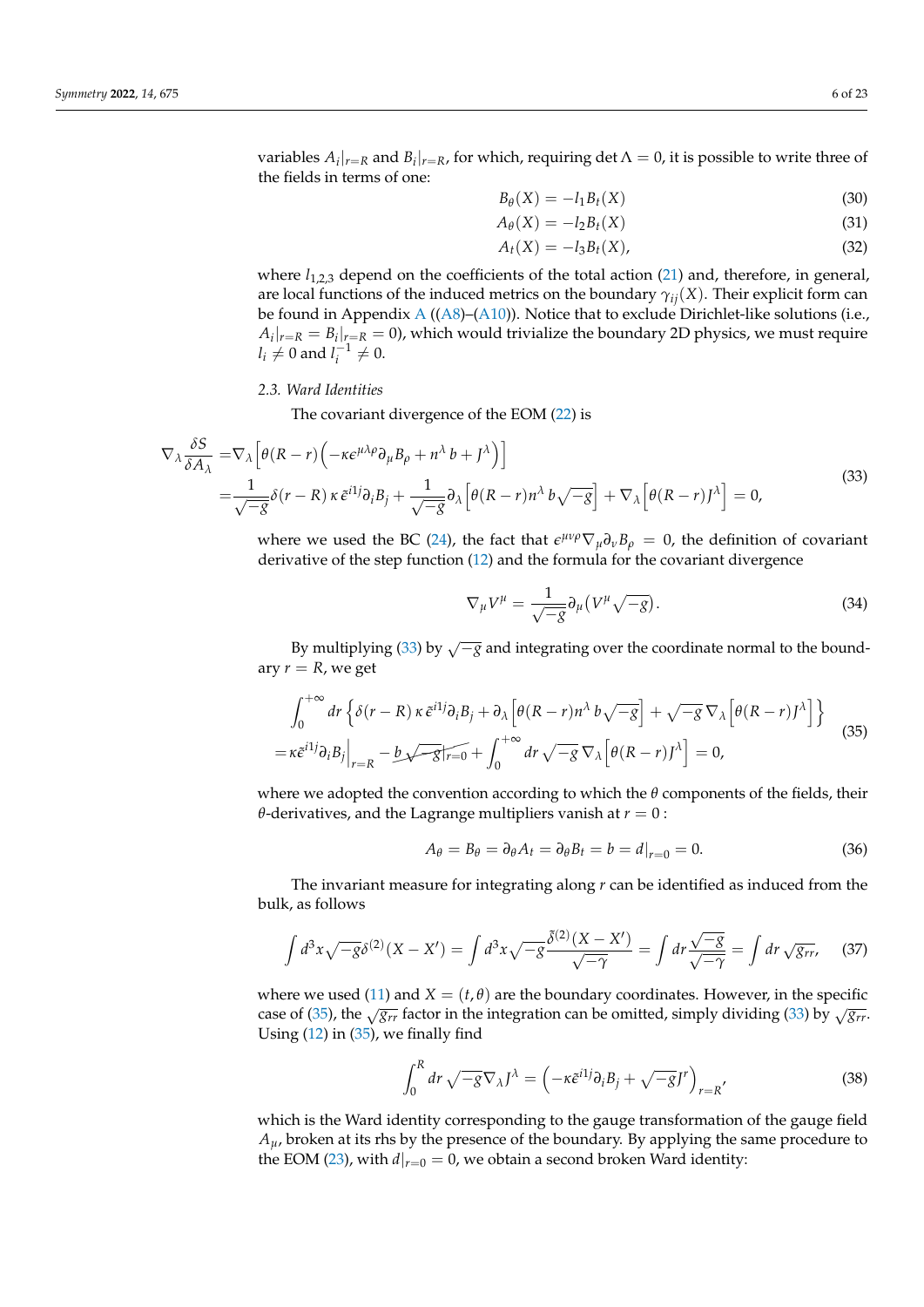variables  $A_i|_{r=R}$  and  $B_i|_{r=R}$ , for which, requiring det  $\Lambda = 0$ , it is possible to write three of the fields in terms of one:

<span id="page-5-5"></span><span id="page-5-4"></span>
$$
B_{\theta}(X) = -l_1 B_t(X) \tag{30}
$$

$$
A_{\theta}(X) = -l_2 B_t(X) \tag{31}
$$

$$
A_t(X) = -l_3 B_t(X), \qquad (32)
$$

where  $l_{1,2,3}$  depend on the coefficients of the total action [\(21\)](#page-4-0) and, therefore, in general, are local functions of the induced metrics on the boundary *γij*(*X*). Their explicit form can be found in [A](#page-19-0)ppendix A  $((A8)–(A10))$  $((A8)–(A10))$  $((A8)–(A10))$  $((A8)–(A10))$  $((A8)–(A10))$ . Notice that to exclude Dirichlet-like solutions (i.e.,  $A_i|_{r=R} = B_i|_{r=R} = 0$ ), which would trivialize the boundary 2D physics, we must require  $l_i \neq 0$  and  $l_i^{-1} \neq 0$ .

## *2.3. Ward Identities*

The covariant divergence of the EOM [\(22\)](#page-4-1) is

<span id="page-5-0"></span>
$$
\nabla_{\lambda} \frac{\delta S}{\delta A_{\lambda}} = \nabla_{\lambda} \left[ \theta (R - r) \left( -\kappa \epsilon^{\mu \lambda \rho} \partial_{\mu} B_{\rho} + n^{\lambda} b + J^{\lambda} \right) \right]
$$
  
= 
$$
\frac{1}{\sqrt{-g}} \delta(r - R) \kappa \tilde{\epsilon}^{i1} \partial_{i} B_{j} + \frac{1}{\sqrt{-g}} \partial_{\lambda} \left[ \theta (R - r) n^{\lambda} b \sqrt{-g} \right] + \nabla_{\lambda} \left[ \theta (R - r) J^{\lambda} \right] = 0,
$$
 (33)

where we used the BC [\(24\)](#page-4-3), the fact that  $\epsilon^{\mu\nu\rho}\nabla_{\mu}\partial_{\nu}B_{\rho} = 0$ , the definition of covariant derivative of the step function [\(12\)](#page-3-3) and the formula for the covariant divergence

<span id="page-5-3"></span>
$$
\nabla_{\mu}V^{\mu} = \frac{1}{\sqrt{-g}}\partial_{\mu}\left(V^{\mu}\sqrt{-g}\right). \tag{34}
$$

By multiplying [\(33\)](#page-5-0) by  $\sqrt{-g}$  and integrating over the coordinate normal to the boundary  $r = R$ , we get

<span id="page-5-1"></span>
$$
\int_0^{+\infty} dr \left\{ \delta(r - R) \kappa \tilde{\epsilon}^{i1} \partial_i B_j + \partial_\lambda \left[ \theta(R - r) n^\lambda b \sqrt{-g} \right] + \sqrt{-g} \nabla_\lambda \left[ \theta(R - r) J^\lambda \right] \right\} \n= \kappa \tilde{\epsilon}^{i1} \partial_i B_j \Big|_{r = R} - b \sqrt{-g} \widehat{r_{r = 0}} + \int_0^{+\infty} dr \sqrt{-g} \nabla_\lambda \left[ \theta(R - r) J^\lambda \right] = 0,
$$
\n(35)

where we adopted the convention according to which the *θ* components of the fields, their *θ*-derivatives, and the Lagrange multipliers vanish at *r* = 0 :

$$
A_{\theta} = B_{\theta} = \partial_{\theta} A_t = \partial_{\theta} B_t = b = d|_{r=0} = 0.
$$
\n(36)

The invariant measure for integrating along *r* can be identified as induced from the bulk, as follows

$$
\int d^3x \sqrt{-g} \delta^{(2)}(X - X') = \int d^3x \sqrt{-g} \frac{\delta^{(2)}(X - X')}{\sqrt{-\gamma}} = \int dr \frac{\sqrt{-g}}{\sqrt{-\gamma}} = \int dr \sqrt{g_{rr}}, \quad (37)
$$

where we used [\(11\)](#page-3-4) and  $X = (t, \theta)$  are the boundary coordinates. However, in the specific case of [\(35\)](#page-5-1), the  $\sqrt{g_{rr}}$  factor in the integration can be omitted, simply dividing [\(33\)](#page-5-0) by  $\sqrt{g_{rr}}$ . Using  $(12)$  in  $(35)$ , we finally find

<span id="page-5-2"></span>
$$
\int_0^R dr \sqrt{-g} \nabla_{\lambda} J^{\lambda} = \left( -\kappa \tilde{\epsilon}^{i1j} \partial_i B_j + \sqrt{-g} J^r \right)_{r=R'}
$$
\n(38)

which is the Ward identity corresponding to the gauge transformation of the gauge field  $A<sub>u</sub>$ , broken at its rhs by the presence of the boundary. By applying the same procedure to the EOM [\(23\)](#page-4-2), with  $d|_{r=0} = 0$ , we obtain a second broken Ward identity: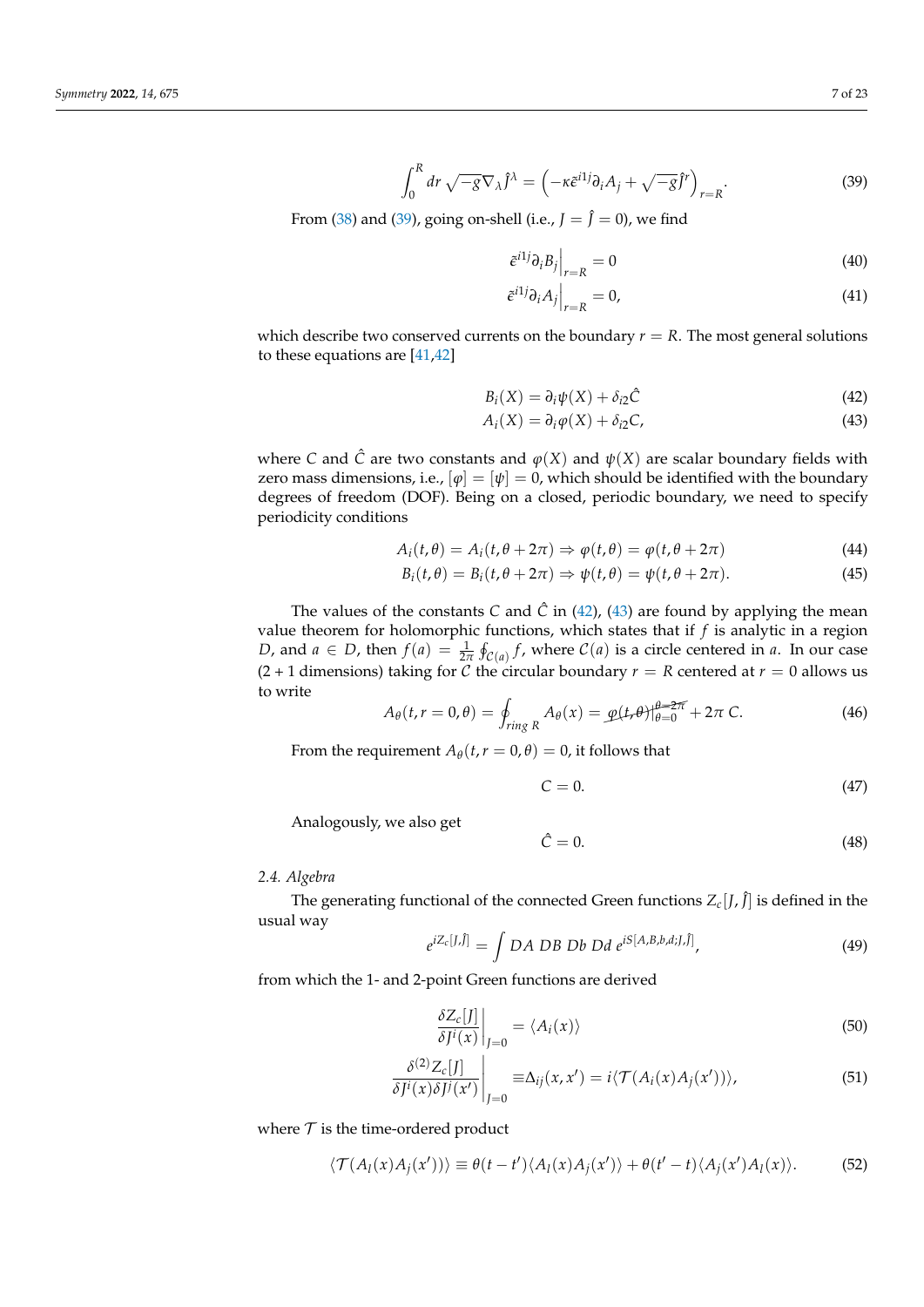<span id="page-6-0"></span>
$$
\int_0^R dr \sqrt{-g} \nabla_\lambda \hat{J}^\lambda = \left( -\kappa \tilde{\epsilon}^{i1j} \partial_i A_j + \sqrt{-g} \tilde{J}^r \right)_{r=R}.
$$
 (39)

From [\(38\)](#page-5-2) and [\(39\)](#page-6-0), going on-shell (i.e.,  $J = \hat{J} = 0$ ), we find

<span id="page-6-5"></span><span id="page-6-4"></span>
$$
\left. \tilde{e}^{i1j} \partial_i B_j \right|_{r=R} = 0 \tag{40}
$$

<span id="page-6-2"></span><span id="page-6-1"></span>
$$
\tilde{e}^{i1j}\partial_i A_j\Big|_{r=R} = 0,\t\t(41)
$$

which describe two conserved currents on the boundary  $r = R$ . The most general solutions to these equations are [\[41,](#page-21-21)[42\]](#page-21-22)

$$
B_i(X) = \partial_i \psi(X) + \delta_{i2} \hat{C}
$$
\n(42)

$$
A_i(X) = \partial_i \varphi(X) + \delta_{i2} C,\tag{43}
$$

where *C* and  $\hat{C}$  are two constants and  $\varphi(X)$  and  $\psi(X)$  are scalar boundary fields with zero mass dimensions, i.e.,  $[\varphi] = [\psi] = 0$ , which should be identified with the boundary degrees of freedom (DOF). Being on a closed, periodic boundary, we need to specify periodicity conditions

$$
A_i(t,\theta) = A_i(t,\theta + 2\pi) \Rightarrow \varphi(t,\theta) = \varphi(t,\theta + 2\pi)
$$
\n(44)

$$
B_i(t,\theta) = B_i(t,\theta + 2\pi) \Rightarrow \psi(t,\theta) = \psi(t,\theta + 2\pi).
$$
 (45)

The values of the constants *C* and  $\hat{C}$  in [\(42\)](#page-6-1), [\(43\)](#page-6-2) are found by applying the mean value theorem for holomorphic functions, which states that if *f* is analytic in a region *D*, and  $a \in D$ , then  $f(a) = \frac{1}{2\pi} \oint_{\mathcal{C}(a)} f$ , where  $\mathcal{C}(a)$  is a circle centered in *a*. In our case (2 + 1 dimensions) taking for C the circular boundary  $r = R$  centered at  $r = 0$  allows us to write

$$
A_{\theta}(t, r = 0, \theta) = \oint_{ring R} A_{\theta}(x) = \underline{\varphi}(t, \theta)|_{\theta=0}^{\theta=2\pi} + 2\pi C.
$$
 (46)

From the requirement  $A_{\theta}(t, r = 0, \theta) = 0$ , it follows that

<span id="page-6-6"></span>
$$
C = 0.\t\t(47)
$$

Analogously, we also get

<span id="page-6-7"></span><span id="page-6-3"></span>
$$
\hat{C} = 0.\t\t(48)
$$

## *2.4. Algebra*

The generating functional of the connected Green functions  $Z_c[J,\hat{J}]$  is defined in the usual way

$$
e^{iZ_c[J,\hat{J}]} = \int DA DB Db Dd e^{iS[A,B,b,d,J,\hat{J}]}, \qquad (49)
$$

from which the 1- and 2-point Green functions are derived

$$
\left. \frac{\delta Z_c[J]}{\delta J^i(x)} \right|_{J=0} = \langle A_i(x) \rangle \tag{50}
$$

$$
\left. \frac{\delta^{(2)} Z_c[J]}{\delta J^i(x) \delta J^j(x')} \right|_{J=0} \equiv \Delta_{ij}(x, x') = i \langle \mathcal{T}(A_i(x) A_j(x')) \rangle, \tag{51}
$$

where  $T$  is the time-ordered product

$$
\langle \mathcal{T}(A_l(x)A_j(x')) \rangle \equiv \theta(t-t') \langle A_l(x)A_j(x') \rangle + \theta(t'-t) \langle A_j(x')A_l(x) \rangle. \tag{52}
$$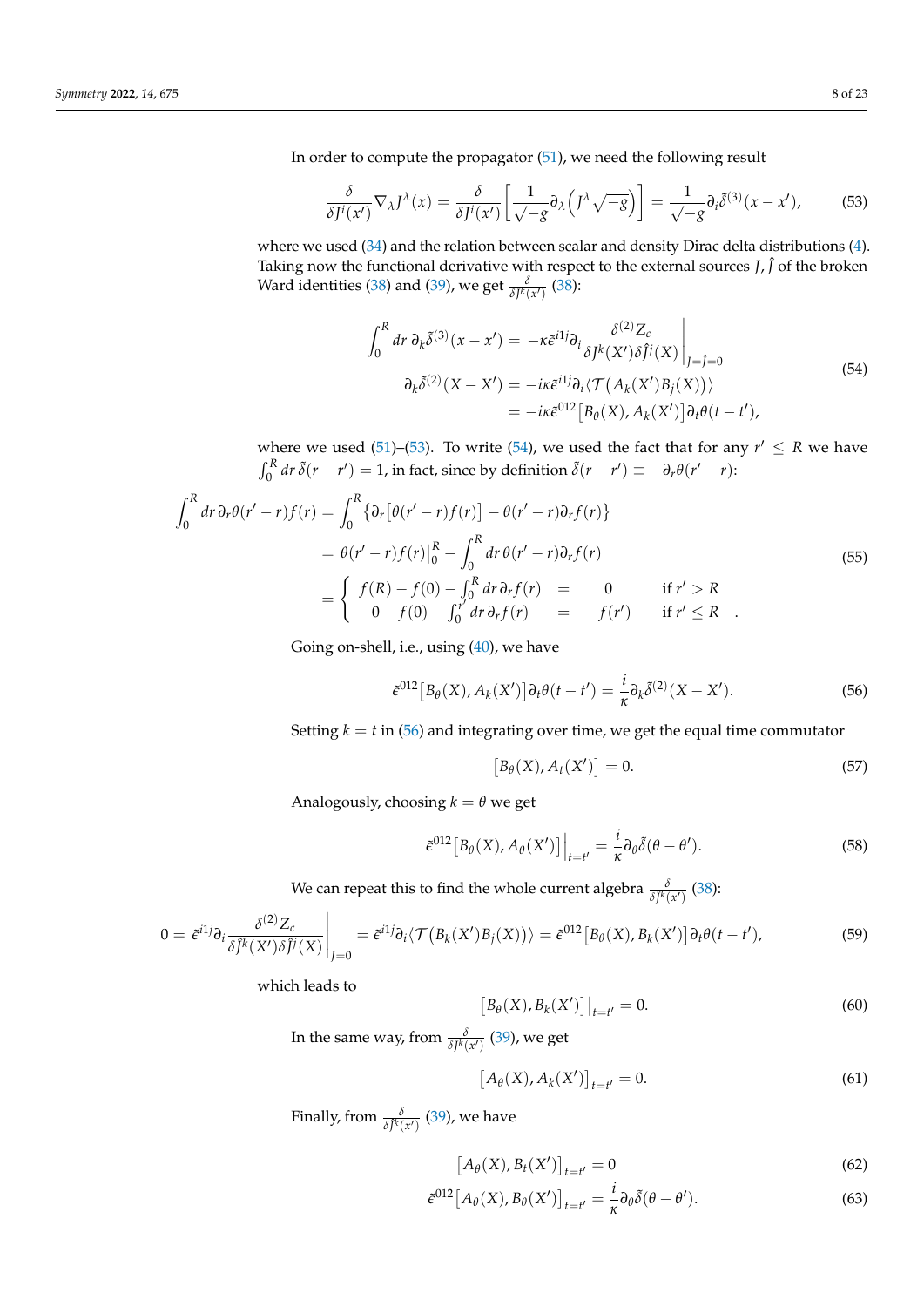In order to compute the propagator [\(51\)](#page-6-3), we need the following result

<span id="page-7-0"></span>
$$
\frac{\delta}{\delta J^i(x')} \nabla_{\lambda} J^{\lambda}(x) = \frac{\delta}{\delta J^i(x')} \left[ \frac{1}{\sqrt{-g}} \partial_{\lambda} \left( J^{\lambda} \sqrt{-g} \right) \right] = \frac{1}{\sqrt{-g}} \partial_i \tilde{\delta}^{(3)}(x - x'), \tag{53}
$$

where we used [\(34\)](#page-5-3) and the relation between scalar and density Dirac delta distributions [\(4\)](#page-2-0). Taking now the functional derivative with respect to the external sources *J,*  $\hat{J}$  of the broken Ward identities [\(38\)](#page-5-2) and [\(39\)](#page-6-0), we get  $\frac{\delta}{\delta J^k(x')}$  (38):

$$
\int_0^R dr \, \partial_k \tilde{\delta}^{(3)}(x - x') = -\kappa \tilde{\epsilon}^{i1} \partial_i \frac{\delta^{(2)} Z_c}{\delta J^k(X') \delta \tilde{J}^j(X)} \Big|_{J = \tilde{J} = 0}
$$
\n
$$
\partial_k \tilde{\delta}^{(2)}(X - X') = -i\kappa \tilde{\epsilon}^{i1} \partial_i \langle \mathcal{T}(A_k(X')B_j(X)) \rangle
$$
\n
$$
= -i\kappa \tilde{\epsilon}^{012} \left[ B_\theta(X), A_k(X') \right] \partial_t \theta(t - t'),
$$
\n(54)

<span id="page-7-1"></span>where we used [\(51\)](#page-6-3)–[\(53\)](#page-7-0). To write [\(54\)](#page-7-1), we used the fact that for any  $r' \le R$  we have  $\int_0^R dr \, \tilde{\delta}(r - r') = 1$ , in fact, since by definition  $\tilde{\delta}(r - r') \equiv -\partial_r \theta(r' - r)$ :

$$
\int_{0}^{R} dr \,\partial_{r}\theta(r'-r)f(r) = \int_{0}^{R} \{\partial_{r}[\theta(r'-r)f(r)] - \theta(r'-r)\partial_{r}f(r)\}
$$
\n
$$
= \theta(r'-r)f(r)\Big|_{0}^{R} - \int_{0}^{R} dr \,\theta(r'-r)\partial_{r}f(r)
$$
\n
$$
= \begin{cases}\nf(R) - f(0) - \int_{0}^{R} dr \,\partial_{r}f(r) = 0 & \text{if } r' > R \\
0 - f(0) - \int_{0}^{r'} dr \,\partial_{r}f(r) = -f(r') & \text{if } r' \leq R\n\end{cases} (55)
$$

Going on-shell, i.e., using [\(40\)](#page-6-4), we have

<span id="page-7-2"></span>
$$
\tilde{\epsilon}^{012}\left[B_{\theta}(X), A_{k}(X')\right]\partial_{t}\theta(t-t') = \frac{i}{\kappa}\partial_{k}\tilde{\delta}^{(2)}(X-X'). \tag{56}
$$

Setting  $k = t$  in [\(56\)](#page-7-2) and integrating over time, we get the equal time commutator

$$
[B_{\theta}(X), A_t(X')] = 0.
$$
\n
$$
(57)
$$

Analogously, choosing  $k = \theta$  we get

$$
\tilde{\epsilon}^{012}\big[B_{\theta}(X), A_{\theta}(X')\big]\Big|_{t=t'} = \frac{i}{\kappa}\partial_{\theta}\tilde{\delta}(\theta - \theta'). \tag{58}
$$

We can repeat this to find the whole current algebra  $\frac{\delta}{\delta f^k(x')}$  [\(38\)](#page-5-2):

$$
0 = \tilde{\epsilon}^{i1} \partial_i \frac{\delta^{(2)} Z_c}{\delta \hat{J}^k(X') \delta \hat{J}^j(X)} \bigg|_{J=0} = \tilde{\epsilon}^{i1} \partial_i \langle \mathcal{T} (B_k(X') B_j(X)) \rangle = \tilde{\epsilon}^{012} [B_\theta(X), B_k(X')] \partial_t \theta(t - t'), \tag{59}
$$

which leads to

 $[B_{\theta}(X), B_{k}(X')] \big|_{t=t'} = 0.$  (60)

In the same way, from  $\frac{\delta}{\delta J^k(x')}$  [\(39\)](#page-6-0), we get

$$
[A_{\theta}(X), A_{k}(X')]_{t=t'} = 0.
$$
 (61)

Finally, from  $\frac{\delta}{\delta \hat{J}^k(x')}$  [\(39\)](#page-6-0), we have

$$
\left[A_{\theta}(X), B_{t}(X')\right]_{t=t'} = 0\tag{62}
$$

$$
\tilde{\epsilon}^{012}\left[A_{\theta}(X), B_{\theta}(X')\right]_{t=t'} = \frac{i}{\kappa}\partial_{\theta}\tilde{\delta}(\theta - \theta'). \tag{63}
$$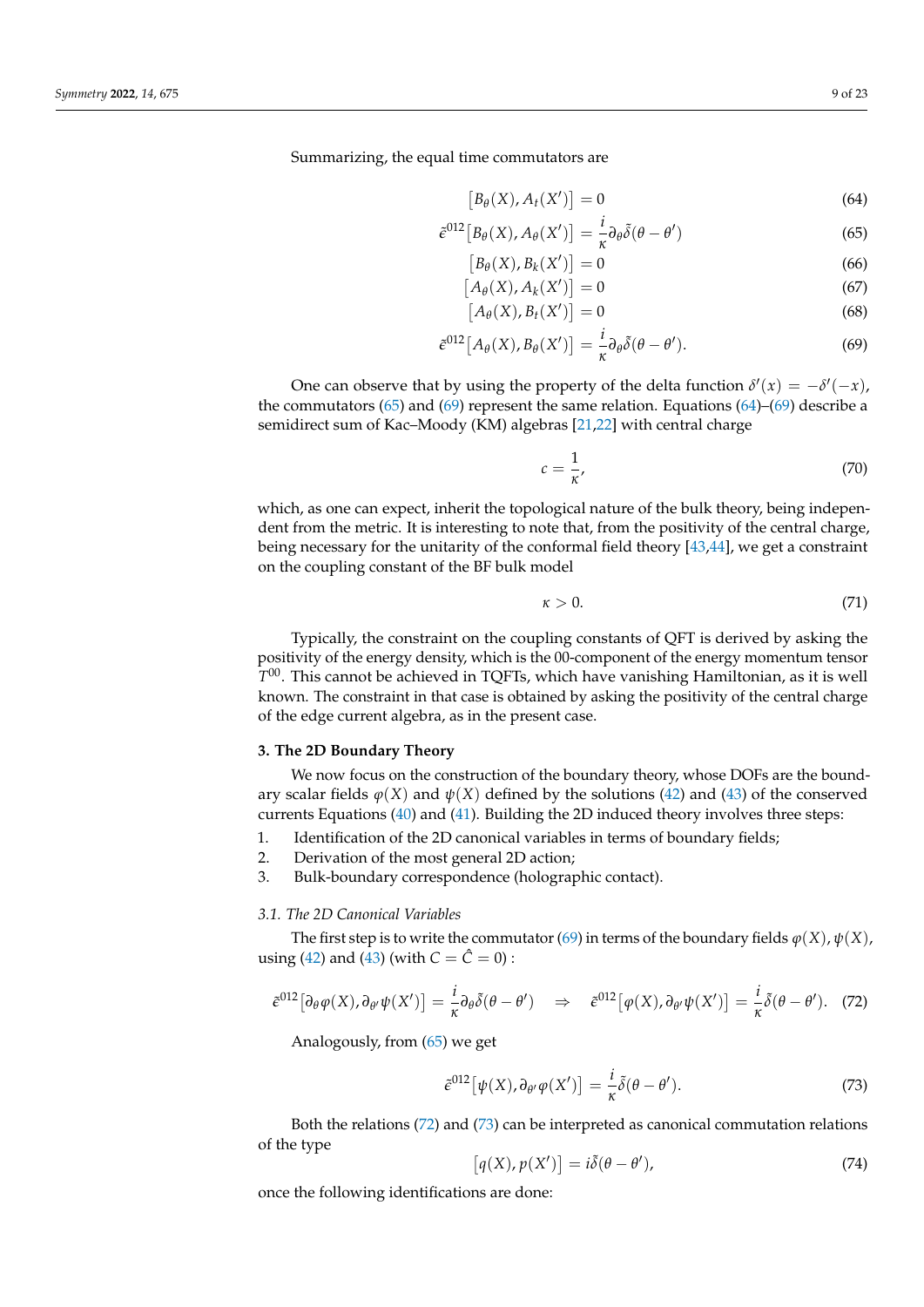Summarizing, the equal time commutators are

<span id="page-8-3"></span><span id="page-8-1"></span> $[B_\theta(X), A_t(X')] = 0$ (64)

$$
\tilde{\epsilon}^{012}\left[B_{\theta}(X), A_{\theta}(X')\right] = \frac{i}{\kappa} \partial_{\theta} \tilde{\delta}(\theta - \theta') \tag{65}
$$

$$
[B_{\theta}(X), B_{k}(X')] = 0 \tag{66}
$$

$$
[A_{\theta}(X), A_{k}(X')] = 0 \tag{67}
$$

$$
[A_{\theta}(X), B_t(X')] = 0 \tag{68}
$$

$$
\tilde{\epsilon}^{012}[A_{\theta}(X), B_{\theta}(X')] = \frac{i}{\kappa} \partial_{\theta} \tilde{\delta}(\theta - \theta'). \tag{69}
$$

One can observe that by using the property of the delta function  $\delta'(x) = -\delta'(-x)$ , the commutators [\(65\)](#page-8-1) and [\(69\)](#page-8-2) represent the same relation. Equations [\(64\)](#page-8-3)–(69) describe a semidirect sum of Kac–Moody (KM) algebras [\[21](#page-21-4)[,22\]](#page-21-5) with central charge

<span id="page-8-2"></span>
$$
c = \frac{1}{\kappa},\tag{70}
$$

which, as one can expect, inherit the topological nature of the bulk theory, being independent from the metric. It is interesting to note that, from the positivity of the central charge, being necessary for the unitarity of the conformal field theory [\[43](#page-21-23)[,44\]](#page-21-24), we get a constraint on the coupling constant of the BF bulk model

<span id="page-8-6"></span>
$$
\kappa > 0. \tag{71}
$$

Typically, the constraint on the coupling constants of QFT is derived by asking the positivity of the energy density, which is the 00-component of the energy momentum tensor *T* <sup>00</sup>. This cannot be achieved in TQFTs, which have vanishing Hamiltonian, as it is well known. The constraint in that case is obtained by asking the positivity of the central charge of the edge current algebra, as in the present case.

### <span id="page-8-0"></span>**3. The 2D Boundary Theory**

We now focus on the construction of the boundary theory, whose DOFs are the boundary scalar fields  $\varphi$ (*X*) and  $\psi$ (*X*) defined by the solutions [\(42\)](#page-6-1) and [\(43\)](#page-6-2) of the conserved currents Equations [\(40\)](#page-6-4) and [\(41\)](#page-6-5). Building the 2D induced theory involves three steps:

- 1. Identification of the 2D canonical variables in terms of boundary fields;
- 2. Derivation of the most general 2D action;
- 3. Bulk-boundary correspondence (holographic contact).

## *3.1. The 2D Canonical Variables*

The first step is to write the commutator [\(69\)](#page-8-2) in terms of the boundary fields  $\varphi(X)$ ,  $\psi(X)$ , using [\(42\)](#page-6-1) and [\(43\)](#page-6-2) (with  $C = \hat{C} = 0$ ) :

<span id="page-8-4"></span>
$$
\tilde{\epsilon}^{012} \big[ \partial_{\theta} \varphi(X), \partial_{\theta'} \psi(X') \big] = \frac{i}{\kappa} \partial_{\theta} \tilde{\delta}(\theta - \theta') \quad \Rightarrow \quad \tilde{\epsilon}^{012} \big[ \varphi(X), \partial_{\theta'} \psi(X') \big] = \frac{i}{\kappa} \tilde{\delta}(\theta - \theta'). \tag{72}
$$

Analogously, from [\(65\)](#page-8-1) we get

<span id="page-8-5"></span>
$$
\tilde{\epsilon}^{012} \big[ \psi(X), \partial_{\theta'} \varphi(X') \big] = \frac{i}{\kappa} \tilde{\delta}(\theta - \theta'). \tag{73}
$$

Both the relations [\(72\)](#page-8-4) and [\(73\)](#page-8-5) can be interpreted as canonical commutation relations of the type

$$
[q(X), p(X')] = i\tilde{\delta}(\theta - \theta'), \qquad (74)
$$

once the following identifications are done: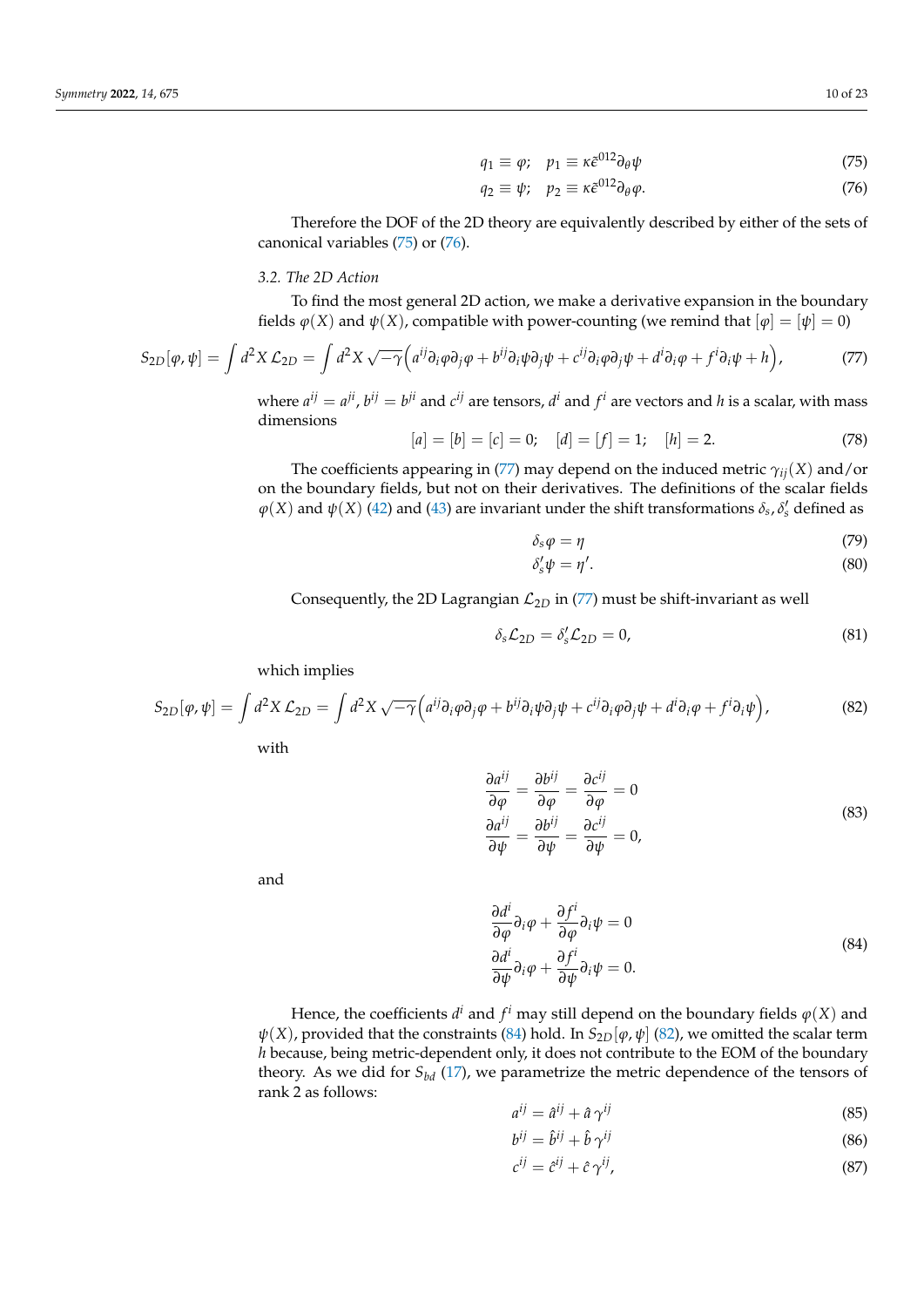<span id="page-9-1"></span><span id="page-9-0"></span>
$$
q_1 \equiv \varphi; \quad p_1 \equiv \kappa \tilde{\epsilon}^{012} \partial_{\theta} \psi \tag{75}
$$

$$
q_2 \equiv \psi; \quad p_2 \equiv \kappa \tilde{\epsilon}^{012} \partial_\theta \varphi. \tag{76}
$$

Therefore the DOF of the 2D theory are equivalently described by either of the sets of canonical variables [\(75\)](#page-9-0) or [\(76\)](#page-9-1).

## *3.2. The 2D Action*

To find the most general 2D action, we make a derivative expansion in the boundary fields  $\varphi$ (*X*) and  $\psi$ (*X*), compatible with power-counting (we remind that  $\varphi$ ) =  $\psi$  = 0)

<span id="page-9-2"></span>
$$
S_{2D}[\varphi,\psi] = \int d^2X \mathcal{L}_{2D} = \int d^2X \sqrt{-\gamma} \Big( a^{ij} \partial_i \varphi \partial_j \varphi + b^{ij} \partial_i \psi \partial_j \psi + c^{ij} \partial_i \varphi \partial_j \psi + d^i \partial_i \varphi + f^i \partial_i \psi + h \Big), \tag{77}
$$

where  $a^{ij} = a^{ji}$ ,  $b^{ij} = b^{ji}$  and  $c^{ij}$  are tensors,  $d^i$  and  $f^i$  are vectors and  $h$  is a scalar, with mass dimensions

$$
[a] = [b] = [c] = 0; \quad [d] = [f] = 1; \quad [h] = 2.
$$
\n(78)

The coefficients appearing in [\(77\)](#page-9-2) may depend on the induced metric *γij*(*X*) and/or on the boundary fields, but not on their derivatives. The definitions of the scalar fields  $\varphi(X)$  and  $\psi(X)$  [\(42\)](#page-6-1) and [\(43\)](#page-6-2) are invariant under the shift transformations  $\delta_s$ ,  $\delta'_s$  defined as

$$
\delta_s \varphi = \eta \tag{79}
$$

$$
\delta'_{s}\psi = \eta'.\tag{80}
$$

Consequently, the 2D Lagrangian  $\mathcal{L}_{2D}$  in [\(77\)](#page-9-2) must be shift-invariant as well

$$
\delta_s \mathcal{L}_{2D} = \delta_s' \mathcal{L}_{2D} = 0, \tag{81}
$$

which implies

<span id="page-9-4"></span>
$$
S_{2D}[\varphi,\psi] = \int d^2X \mathcal{L}_{2D} = \int d^2X \sqrt{-\gamma} \Big( a^{ij} \partial_i \varphi \partial_j \varphi + b^{ij} \partial_i \psi \partial_j \psi + c^{ij} \partial_i \varphi \partial_j \psi + d^i \partial_i \varphi + f^i \partial_i \psi \Big), \tag{82}
$$

with

$$
\frac{\partial a^{ij}}{\partial \varphi} = \frac{\partial b^{ij}}{\partial \varphi} = \frac{\partial c^{ij}}{\partial \varphi} = 0
$$
  
\n
$$
\frac{\partial a^{ij}}{\partial \psi} = \frac{\partial b^{ij}}{\partial \psi} = \frac{\partial c^{ij}}{\partial \psi} = 0,
$$
\n(83)

<span id="page-9-3"></span>and

$$
\frac{\partial d^i}{\partial \varphi} \partial_i \varphi + \frac{\partial f^i}{\partial \varphi} \partial_i \psi = 0
$$
\n
$$
\frac{\partial d^i}{\partial \psi} \partial_i \varphi + \frac{\partial f^i}{\partial \psi} \partial_i \psi = 0.
$$
\n(84)

Hence, the coefficients  $d^i$  and  $f^i$  may still depend on the boundary fields  $\varphi(X)$  and *ψ*(*X*), provided that the constraints [\(84\)](#page-9-3) hold. In  $S_{2D}[\varphi, \psi]$  [\(82\)](#page-9-4), we omitted the scalar term *h* because, being metric-dependent only, it does not contribute to the EOM of the boundary theory. As we did for  $S_{bd}$  [\(17\)](#page-4-6), we parametrize the metric dependence of the tensors of rank 2 as follows:

> <span id="page-9-5"></span> $a^{ij} = \hat{a}^{ij} + \hat{a}\gamma^{ij}$ (85)

$$
b^{ij} = \hat{b}^{ij} + \hat{b}\,\gamma^{ij} \tag{86}
$$

<span id="page-9-7"></span><span id="page-9-6"></span>
$$
c^{ij} = \hat{c}^{ij} + \hat{c}\,\gamma^{ij},\tag{87}
$$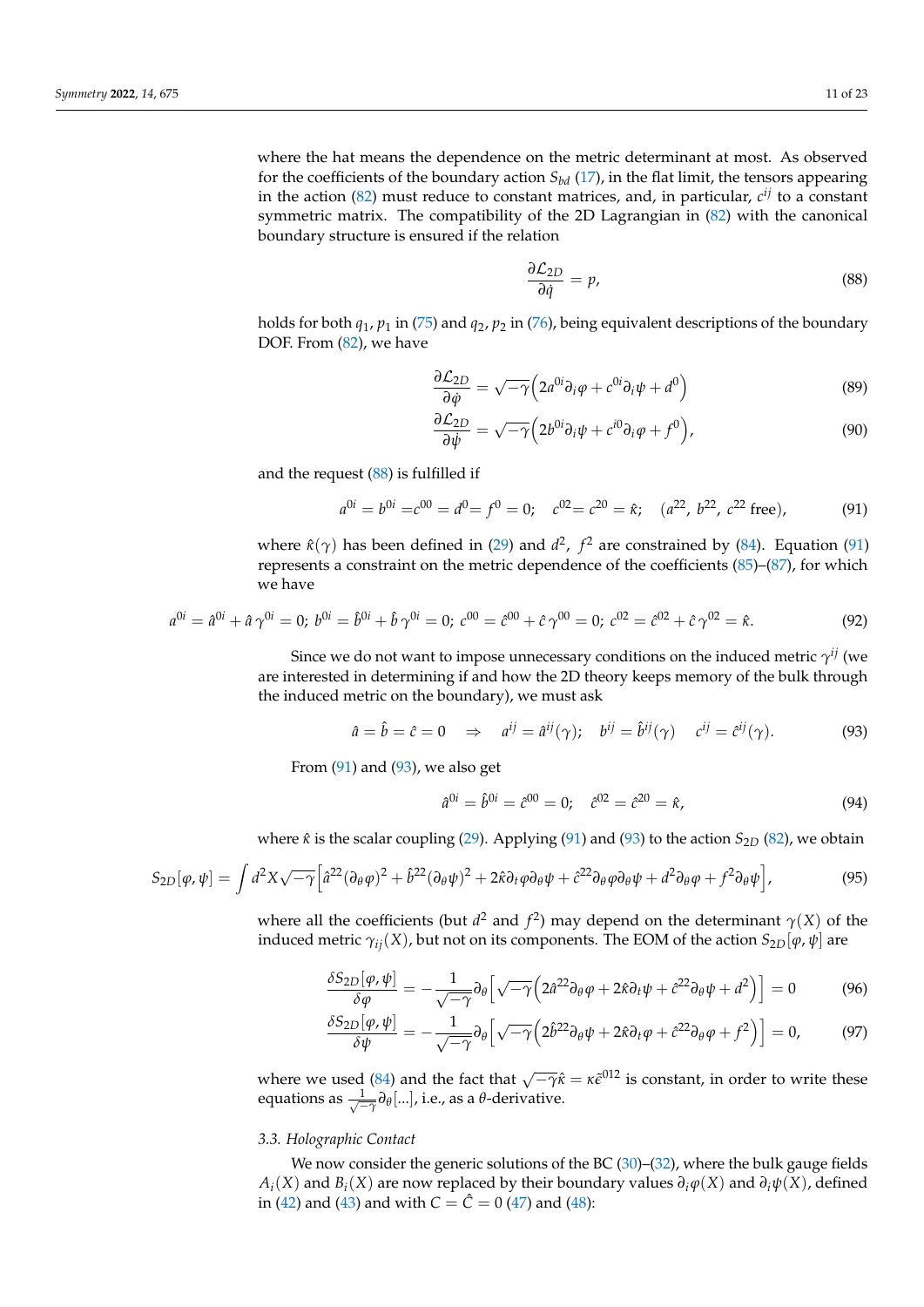where the hat means the dependence on the metric determinant at most. As observed for the coefficients of the boundary action  $S_{bd}$  [\(17\)](#page-4-6), in the flat limit, the tensors appearing in the action [\(82\)](#page-9-4) must reduce to constant matrices, and, in particular, *c ij* to a constant symmetric matrix. The compatibility of the 2D Lagrangian in [\(82\)](#page-9-4) with the canonical boundary structure is ensured if the relation

<span id="page-10-0"></span>
$$
\frac{\partial \mathcal{L}_{2D}}{\partial \dot{q}} = p,\tag{88}
$$

holds for both *q*1, *p*<sup>1</sup> in [\(75\)](#page-9-0) and *q*2, *p*<sup>2</sup> in [\(76\)](#page-9-1), being equivalent descriptions of the boundary DOF. From  $(82)$ , we have

$$
\frac{\partial \mathcal{L}_{2D}}{\partial \phi} = \sqrt{-\gamma} \left( 2a^{0i} \partial_i \varphi + c^{0i} \partial_i \psi + d^0 \right) \tag{89}
$$

$$
\frac{\partial \mathcal{L}_{2D}}{\partial \dot{\psi}} = \sqrt{-\gamma} \Big( 2b^{0i} \partial_i \psi + c^{i0} \partial_i \varphi + f^0 \Big), \tag{90}
$$

and the request [\(88\)](#page-10-0) is fulfilled if

<span id="page-10-1"></span>
$$
a^{0i} = b^{0i} = c^{00} = d^0 = f^0 = 0; \quad c^{02} = c^{20} = \hat{\kappa}; \quad (a^{22}, b^{22}, c^{22} \text{ free}), \tag{91}
$$

where  $\hat{\kappa}(\gamma)$  has been defined in [\(29\)](#page-4-7) and  $d^2$ ,  $f^2$  are constrained by [\(84\)](#page-9-3). Equation [\(91\)](#page-10-1) represents a constraint on the metric dependence of the coefficients [\(85\)](#page-9-5)–[\(87\)](#page-9-6), for which we have

$$
a^{0i} = \hat{a}^{0i} + \hat{a}\gamma^{0i} = 0; \ b^{0i} = \hat{b}^{0i} + \hat{b}\gamma^{0i} = 0; \ c^{00} = \hat{c}^{00} + \hat{c}\gamma^{00} = 0; \ c^{02} = \hat{c}^{02} + \hat{c}\gamma^{02} = \hat{\kappa}.
$$
 (92)

Since we do not want to impose unnecessary conditions on the induced metric  $\gamma^{ij}$  (we are interested in determining if and how the 2D theory keeps memory of the bulk through the induced metric on the boundary), we must ask

<span id="page-10-2"></span>
$$
\hat{a} = \hat{b} = \hat{c} = 0 \quad \Rightarrow \quad a^{ij} = \hat{a}^{ij}(\gamma); \quad b^{ij} = \hat{b}^{ij}(\gamma) \quad c^{ij} = \hat{c}^{ij}(\gamma). \tag{93}
$$

From  $(91)$  and  $(93)$ , we also get

<span id="page-10-4"></span><span id="page-10-3"></span>
$$
\hat{a}^{0i} = \hat{b}^{0i} = \hat{c}^{00} = 0; \quad \hat{c}^{02} = \hat{c}^{20} = \hat{\kappa}, \tag{94}
$$

where  $\hat{\kappa}$  is the scalar coupling [\(29\)](#page-4-7). Applying [\(91\)](#page-10-1) and [\(93\)](#page-10-2) to the action  $S_{2D}$  [\(82\)](#page-9-4), we obtain

<span id="page-10-5"></span>
$$
S_{2D}[\varphi,\psi] = \int d^2X \sqrt{-\gamma} \Big[ \hat{a}^{22} (\partial_{\theta}\varphi)^2 + \hat{b}^{22} (\partial_{\theta}\psi)^2 + 2\hat{\kappa}\partial_t\varphi\partial_{\theta}\psi + \hat{c}^{22} \partial_{\theta}\varphi\partial_{\theta}\psi + d^2\partial_{\theta}\varphi + f^2 \partial_{\theta}\psi \Big],
$$
(95)

where all the coefficients (but  $d^2$  and  $f^2$ ) may depend on the determinant  $\gamma(X)$  of the induced metric  $γ_{ij}(X)$ , but not on its components. The EOM of the action  $S_{2D}[\varphi, \psi]$  are

$$
\frac{\delta S_{2D}[\varphi,\psi]}{\delta \varphi} = -\frac{1}{\sqrt{-\gamma}} \partial_{\theta} \left[ \sqrt{-\gamma} \left( 2\hat{a}^{22} \partial_{\theta} \varphi + 2\hat{\kappa} \partial_{t} \psi + \hat{c}^{22} \partial_{\theta} \psi + d^{2} \right) \right] = 0 \tag{96}
$$

$$
\frac{\delta S_{2D}[\varphi,\psi]}{\delta \psi} = -\frac{1}{\sqrt{-\gamma}} \partial_{\theta} \left[ \sqrt{-\gamma} \left( 2\hat{b}^{22} \partial_{\theta} \psi + 2\hat{\kappa} \partial_{t} \varphi + \hat{c}^{22} \partial_{\theta} \varphi + f^{2} \right) \right] = 0, \quad (97)
$$

where we used [\(84\)](#page-9-3) and the fact that  $\sqrt{-\gamma} \hat{\kappa} = \kappa \tilde{\epsilon}^{012}$  is constant, in order to write these equations as √ 1 −*γ ∂θ* [...], i.e., as a *θ*-derivative.

## *3.3. Holographic Contact*

We now consider the generic solutions of the BC  $(30)$ – $(32)$ , where the bulk gauge fields  $A_i(X)$  and  $B_i(X)$  are now replaced by their boundary values  $\partial_i \varphi(X)$  and  $\partial_i \psi(X)$ , defined in [\(42\)](#page-6-1) and [\(43\)](#page-6-2) and with  $C = \hat{C} = 0$  [\(47\)](#page-6-6) and [\(48\)](#page-6-7):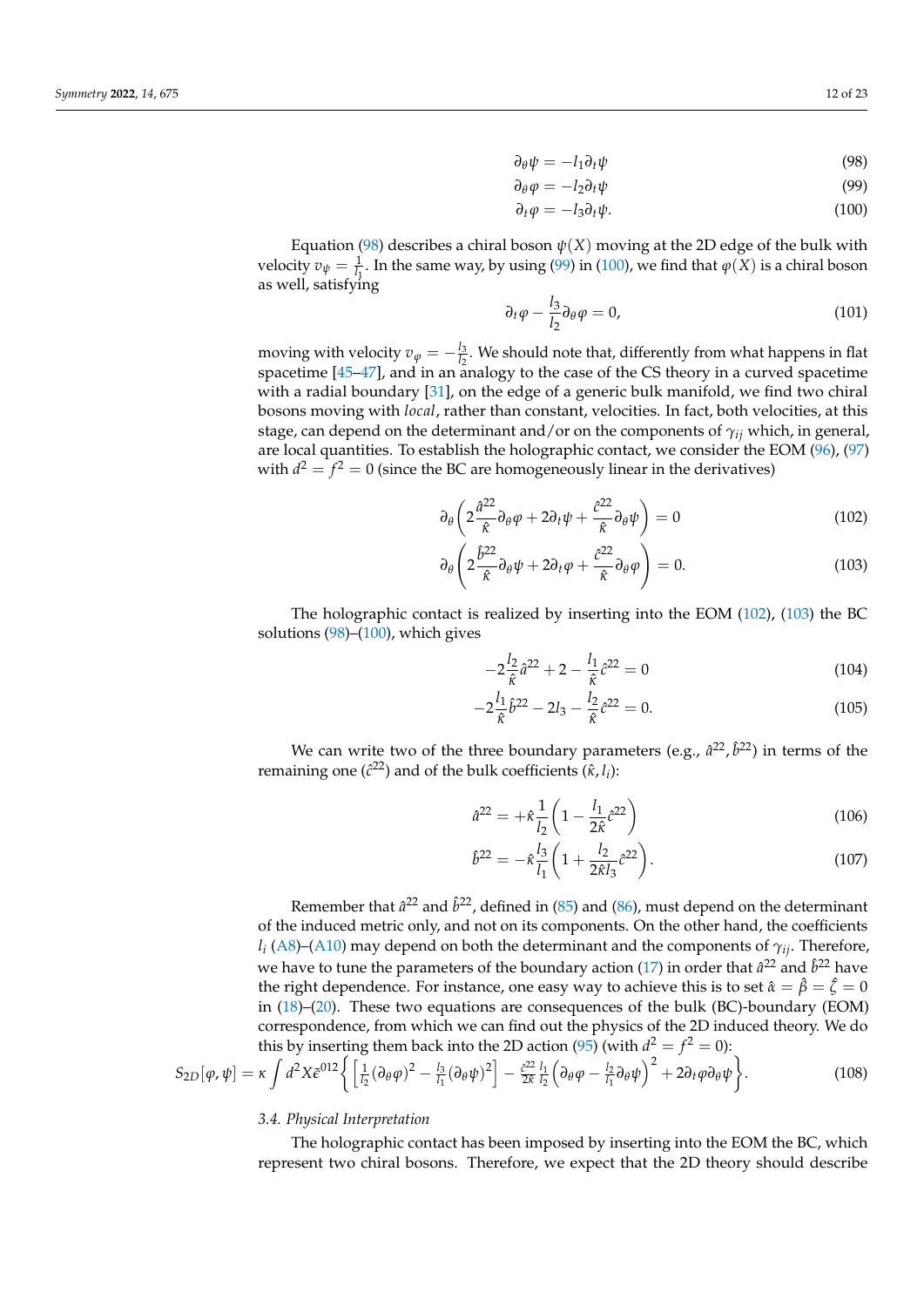<span id="page-11-2"></span><span id="page-11-1"></span><span id="page-11-0"></span>
$$
\partial_{\theta} \psi = -l_1 \partial_t \psi \tag{98}
$$

$$
\partial_{\theta} \varphi = -l_2 \partial_t \psi \tag{99}
$$

$$
\partial_t \varphi = -l_3 \partial_t \psi. \tag{100}
$$

Equation [\(98\)](#page-11-0) describes a chiral boson  $\psi(X)$  moving at the 2D edge of the bulk with velocity  $v_{\psi} = \frac{1}{l_1}$ . In the same way, by using [\(99\)](#page-11-1) in [\(100\)](#page-11-2), we find that  $\varphi(X)$  is a chiral boson as well, satisfying

$$
\partial_t \varphi - \frac{l_3}{l_2} \partial_\theta \varphi = 0, \tag{101}
$$

moving with velocity  $v_\varphi=-\frac{l_3}{l_2}$  $\frac{I_3}{I_2}$ . We should note that, differently from what happens in flat spacetime  $[45-47]$  $[45-47]$ , and in an analogy to the case of the CS theory in a curved spacetime with a radial boundary [\[31\]](#page-21-11), on the edge of a generic bulk manifold, we find two chiral bosons moving with *local*, rather than constant, velocities. In fact, both velocities, at this stage, can depend on the determinant and/or on the components of *γij* which, in general, are local quantities. To establish the holographic contact, we consider the EOM [\(96\)](#page-10-3), [\(97\)](#page-10-4) with  $d^2 = f^2 = 0$  (since the BC are homogeneously linear in the derivatives)

$$
\partial_{\theta} \left( 2 \frac{\hat{a}^{22}}{\hat{\kappa}} \partial_{\theta} \varphi + 2 \partial_{t} \psi + \frac{\hat{c}^{22}}{\hat{\kappa}} \partial_{\theta} \psi \right) = 0 \tag{102}
$$

$$
\partial_{\theta} \left( 2 \frac{\hat{b}^{22}}{\hat{\kappa}} \partial_{\theta} \psi + 2 \partial_{t} \varphi + \frac{\hat{c}^{22}}{\hat{\kappa}} \partial_{\theta} \varphi \right) = 0. \tag{103}
$$

The holographic contact is realized by inserting into the EOM [\(102\)](#page-11-3), [\(103\)](#page-11-4) the BC solutions [\(98\)](#page-11-0)–[\(100\)](#page-11-2), which gives

<span id="page-11-4"></span><span id="page-11-3"></span>
$$
-2\frac{l_2}{\hat{\kappa}}\hat{a}^{22} + 2 - \frac{l_1}{\hat{\kappa}}\hat{c}^{22} = 0
$$
 (104)

$$
-2\frac{l_1}{\hat{\kappa}}\hat{b}^{22} - 2l_3 - \frac{l_2}{\hat{\kappa}}\hat{c}^{22} = 0.
$$
 (105)

We can write two of the three boundary parameters (e.g.,  $\hat{a}^{22}$ ,  $\hat{b}^{22}$ ) in terms of the remaining one ( $\hat{c}^{22}$ ) and of the bulk coefficients ( $\hat{\kappa}$ ,  $l_i$ ):

$$
\hat{a}^{22} = +\hat{\kappa}\frac{1}{l_2} \left(1 - \frac{l_1}{2\hat{\kappa}}\hat{c}^{22}\right)
$$
 (106)

<span id="page-11-7"></span><span id="page-11-6"></span>
$$
\hat{b}^{22} = -\hat{\kappa}\frac{l_3}{l_1}\left(1 + \frac{l_2}{2\hat{\kappa}l_3}\hat{c}^{22}\right).
$$
\n(107)

Remember that  $\hat{a}^{22}$  and  $\hat{b}^{22}$ , defined in [\(85\)](#page-9-5) and [\(86\)](#page-9-7), must depend on the determinant of the induced metric only, and not on its components. On the other hand, the coefficients *li* [\(A8\)](#page-20-8)–[\(A10\)](#page-20-9) may depend on both the determinant and the components of *γij*. Therefore, we have to tune the parameters of the boundary action [\(17\)](#page-4-6) in order that  $\hat{a}^{22}$  and  $\hat{b}^{22}$  have the right dependence. For instance, one easy way to achieve this is to set  $\hat{\alpha} = \hat{\beta} = \hat{\zeta} = 0$ in [\(18\)](#page-4-8)–[\(20\)](#page-4-8). These two equations are consequences of the bulk (BC)-boundary (EOM) correspondence, from which we can find out the physics of the 2D induced theory. We do this by inserting them back into the 2D action [\(95\)](#page-10-5) (with  $d^2 = f^2 = 0$ ):

<span id="page-11-5"></span>
$$
S_{2D}[\varphi,\psi] = \kappa \int d^2X \tilde{\epsilon}^{012} \left\{ \left[ \frac{1}{l_2} (\partial_{\theta}\varphi)^2 - \frac{l_3}{l_1} (\partial_{\theta}\psi)^2 \right] - \frac{\partial^2 Z}{2\hat{\kappa}} \frac{l_1}{l_2} \left( \partial_{\theta}\varphi - \frac{l_2}{l_1} \partial_{\theta}\psi \right)^2 + 2\partial_t\varphi \partial_{\theta}\psi \right\}.
$$
 (108)

### <span id="page-11-8"></span>*3.4. Physical Interpretation*

The holographic contact has been imposed by inserting into the EOM the BC, which represent two chiral bosons. Therefore, we expect that the 2D theory should describe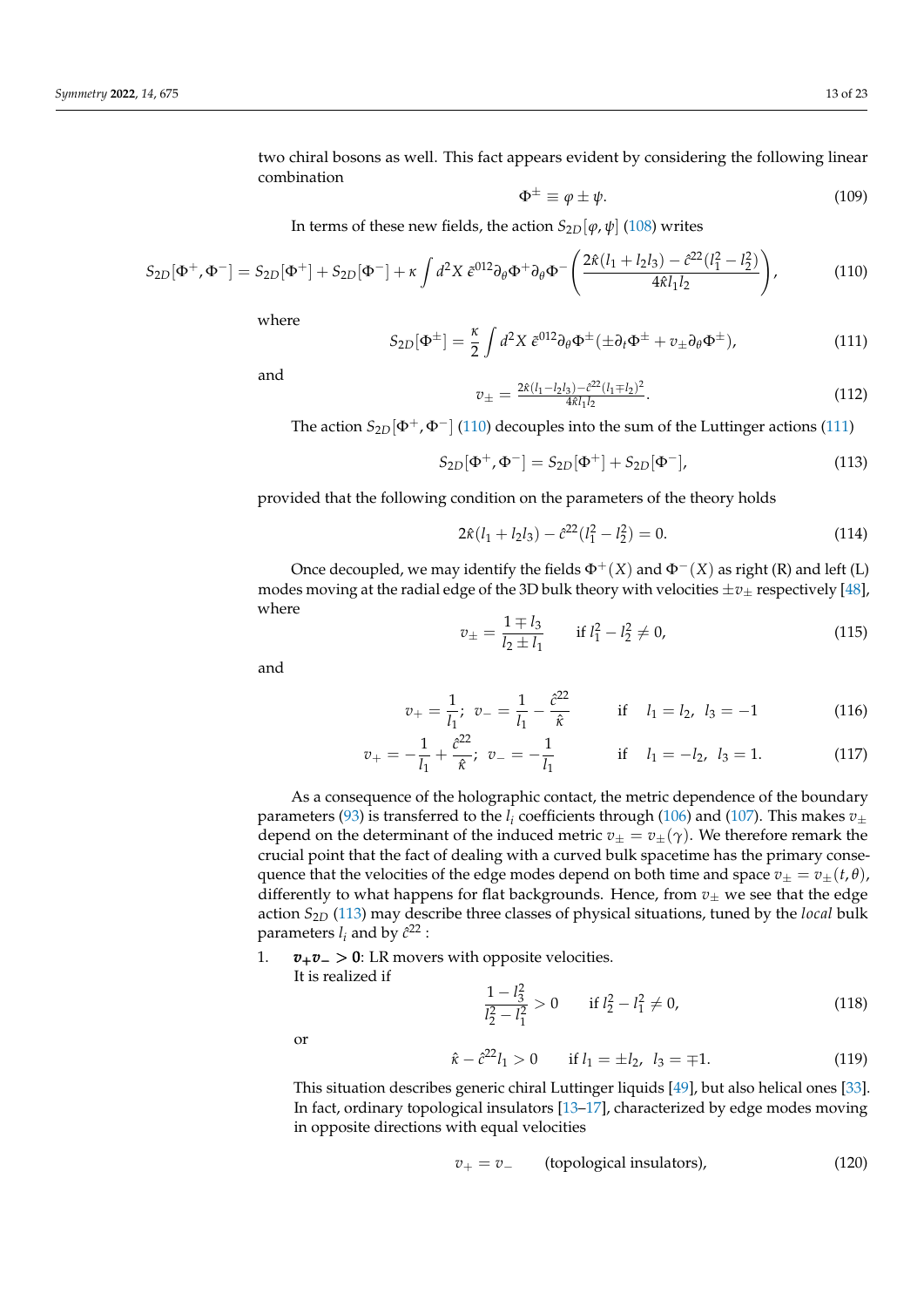two chiral bosons as well. This fact appears evident by considering the following linear combination

<span id="page-12-4"></span>
$$
\Phi^{\pm} \equiv \varphi \pm \psi. \tag{109}
$$

In terms of these new fields, the action  $S_{2D}[\varphi, \psi]$  [\(108\)](#page-11-5) writes

<span id="page-12-0"></span>
$$
S_{2D}[\Phi^+,\Phi^-] = S_{2D}[\Phi^+] + S_{2D}[\Phi^-] + \kappa \int d^2 X \, \tilde{\epsilon}^{012} \partial_\theta \Phi^+ \partial_\theta \Phi^- \left( \frac{2\hat{\kappa}(l_1 + l_2 l_3) - \hat{c}^{22}(l_1^2 - l_2^2)}{4\hat{\kappa}l_1 l_2} \right),\tag{110}
$$

where

<span id="page-12-1"></span>
$$
S_{2D}[\Phi^{\pm}] = \frac{\kappa}{2} \int d^2 X \ \tilde{\epsilon}^{012} \partial_{\theta} \Phi^{\pm} (\pm \partial_t \Phi^{\pm} + v_{\pm} \partial_{\theta} \Phi^{\pm}), \tag{111}
$$

and

$$
v_{\pm} = \frac{2\hat{\kappa}(l_1 - l_2 l_3) - \hat{c}^{22}(l_1 \mp l_2)^2}{4\hat{\kappa}l_1 l_2}.
$$
\n(112)

The action  $S_{2D}[\Phi^+, \Phi^-]$  [\(110\)](#page-12-0) decouples into the sum of the Luttinger actions [\(111\)](#page-12-1)

<span id="page-12-2"></span>
$$
S_{2D}[\Phi^+, \Phi^-] = S_{2D}[\Phi^+] + S_{2D}[\Phi^-], \tag{113}
$$

provided that the following condition on the parameters of the theory holds

<span id="page-12-5"></span>
$$
2\hat{\kappa}(l_1 + l_2 l_3) - \hat{c}^{22}(l_1^2 - l_2^2) = 0.
$$
 (114)

Once decoupled, we may identify the fields  $\Phi^+(X)$  and  $\Phi^-(X)$  as right (R) and left (L) modes moving at the radial edge of the 3D bulk theory with velocities  $\pm v_{\pm}$  respectively [\[48\]](#page-21-27), where

$$
v_{\pm} = \frac{1 \mp l_3}{l_2 \pm l_1} \qquad \text{if } l_1^2 - l_2^2 \neq 0,
$$
 (115)

and

$$
v_{+} = \frac{1}{l_1}; \ v_{-} = \frac{1}{l_1} - \frac{\hat{c}^{22}}{\hat{\kappa}} \qquad \text{if} \quad l_1 = l_2, \ l_3 = -1 \tag{116}
$$

$$
v_{+} = -\frac{1}{l_{1}} + \frac{\hat{c}^{22}}{\hat{\kappa}}; \ v_{-} = -\frac{1}{l_{1}} \qquad \text{if} \quad l_{1} = -l_{2}, \ l_{3} = 1. \tag{117}
$$

As a consequence of the holographic contact, the metric dependence of the boundary parameters [\(93\)](#page-10-2) is transferred to the  $l_i$  coefficients through [\(106\)](#page-11-6) and [\(107\)](#page-11-7). This makes  $v_{\pm}$ depend on the determinant of the induced metric  $v_{\pm} = v_{\pm}(\gamma)$ . We therefore remark the crucial point that the fact of dealing with a curved bulk spacetime has the primary consequence that the velocities of the edge modes depend on both time and space  $v_+ = v_+(t, \theta)$ , differently to what happens for flat backgrounds. Hence, from  $v_{\pm}$  we see that the edge action *S*2*<sup>D</sup>* [\(113\)](#page-12-2) may describe three classes of physical situations, tuned by the *local* bulk parameters  $l_i$  and by  $\hat{c}^{22}$  :

1. *v*+*v*<sup>−</sup> > 0: LR movers with opposite velocities.

It is realized if

$$
\frac{1 - l_3^2}{l_2^2 - l_1^2} > 0 \qquad \text{if } l_2^2 - l_1^2 \neq 0,
$$
\n(118)

or

$$
\hat{\kappa} - \hat{c}^{22} l_1 > 0 \qquad \text{if } l_1 = \pm l_2, \ l_3 = \mp 1. \tag{119}
$$

This situation describes generic chiral Luttinger liquids [\[49\]](#page-21-28), but also helical ones [\[33\]](#page-21-13). In fact, ordinary topological insulators [\[13–](#page-21-0)[17\]](#page-21-2), characterized by edge modes moving in opposite directions with equal velocities

<span id="page-12-3"></span>
$$
v_{+} = v_{-}
$$
 (topological insulators), (120)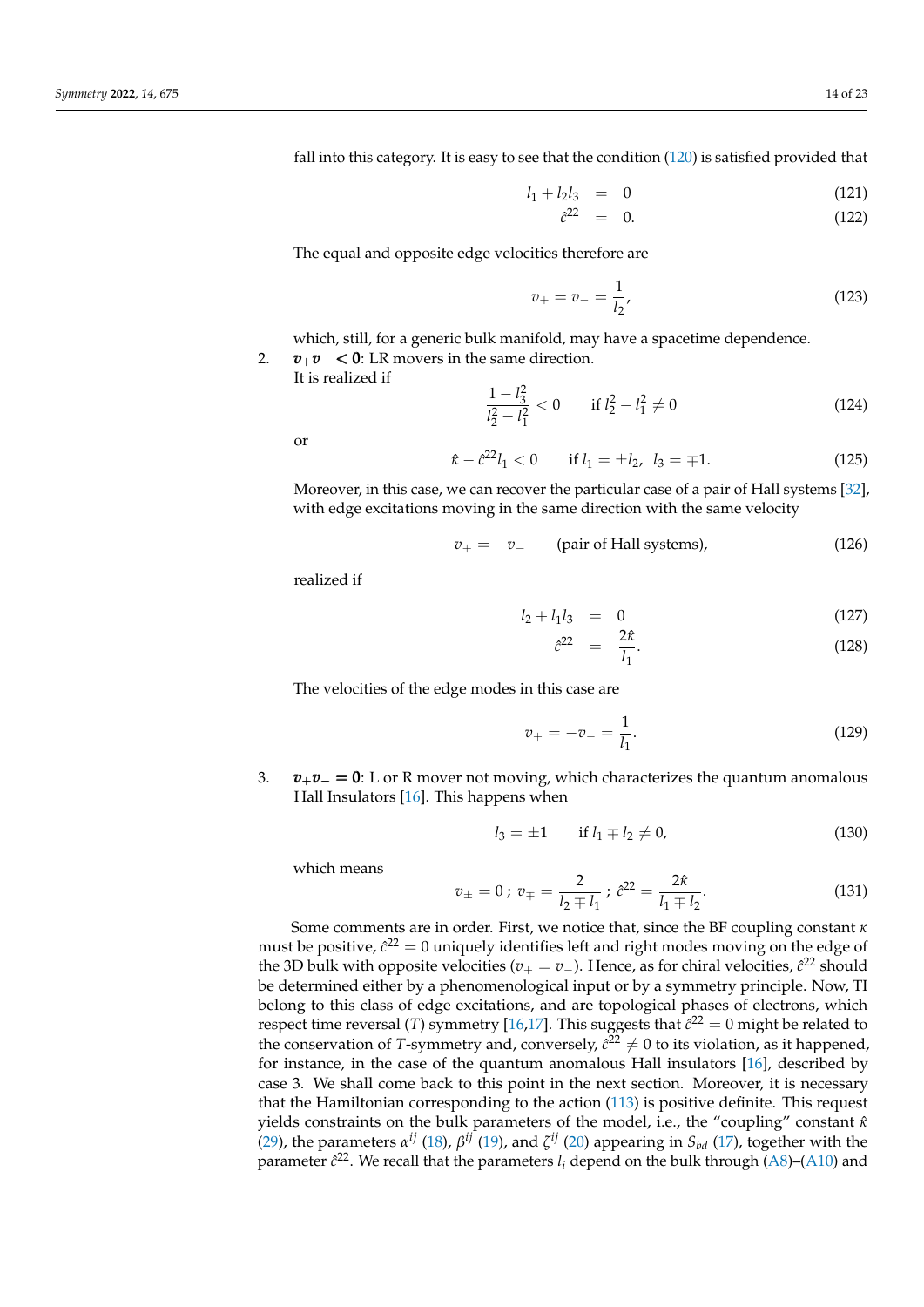fall into this category. It is easy to see that the condition [\(120\)](#page-12-3) is satisfied provided that

<span id="page-13-0"></span>
$$
l_1 + l_2 l_3 = 0 \t\t(121)
$$

$$
\hat{c}^{22} = 0. \tag{122}
$$

The equal and opposite edge velocities therefore are

$$
v_{+} = v_{-} = \frac{1}{l_{2}}, \tag{123}
$$

which, still, for a generic bulk manifold, may have a spacetime dependence. 2. *v*+*v*<sup>−</sup> < 0: LR movers in the same direction.

It is realized if

$$
\frac{1 - l_3^2}{l_2^2 - l_1^2} < 0 \qquad \text{if } l_2^2 - l_1^2 \neq 0 \tag{124}
$$

or

 $\hat{\kappa} - \hat{c}^{22}l_1 < 0$  if  $l_1 = \pm l_2$ ,  $l_3 = \mp 1$ . (125)

Moreover, in this case, we can recover the particular case of a pair of Hall systems [\[32\]](#page-21-12), with edge excitations moving in the same direction with the same velocity

$$
v_{+} = -v_{-} \qquad \text{(pair of Hall systems)}, \tag{126}
$$

realized if

$$
l_2 + l_1 l_3 = 0 \t\t(127)
$$

$$
\hat{c}^{22} = \frac{2\hat{\kappa}}{l_1}.
$$
 (128)

The velocities of the edge modes in this case are

$$
v_{+} = -v_{-} = \frac{1}{l_{1}}.
$$
\n(129)

3. *v*+*v*<sup>−</sup> = 0: L or R mover not moving, which characterizes the quantum anomalous Hall Insulators [\[16\]](#page-21-1). This happens when

$$
l_3 = \pm 1 \qquad \text{if } l_1 \mp l_2 \neq 0,
$$
 (130)

which means

$$
v_{\pm} = 0 \, ; \, v_{\mp} = \frac{2}{l_2 \mp l_1} \, ; \, \hat{c}^{22} = \frac{2\hat{\kappa}}{l_1 \mp l_2}.
$$
 (131)

Some comments are in order. First, we notice that, since the BF coupling constant *κ* must be positive,  $\hat{c}^{22}=0$  uniquely identifies left and right modes moving on the edge of the 3D bulk with opposite velocities ( $v_+ = v_-$ ). Hence, as for chiral velocities,  $\hat{c}^{22}$  should be determined either by a phenomenological input or by a symmetry principle. Now, TI belong to this class of edge excitations, and are topological phases of electrons, which respect time reversal (*T*) symmetry [\[16,](#page-21-1)[17\]](#page-21-2). This suggests that  $\hat{c}^{22} = 0$  might be related to the conservation of *T*-symmetry and, conversely,  $\hat{c}^{22} \neq 0$  to its violation, as it happened, for instance, in the case of the quantum anomalous Hall insulators [\[16\]](#page-21-1), described by case 3. We shall come back to this point in the next section. Moreover, it is necessary that the Hamiltonian corresponding to the action [\(113\)](#page-12-2) is positive definite. This request yields constraints on the bulk parameters of the model, i.e., the "coupling" constant *κ*ˆ [\(29\)](#page-4-7), the parameters  $\alpha^{ij}$  [\(18\)](#page-4-8),  $\beta^{ij}$  [\(19\)](#page-4-8), and  $\zeta^{ij}$  [\(20\)](#page-4-8) appearing in  $S_{bd}$  [\(17\)](#page-4-6), together with the parameter  $\hat{c}^{22}$ . We recall that the parameters  $l_i$  depend on the bulk through [\(A8\)](#page-20-8)–[\(A10\)](#page-20-9) and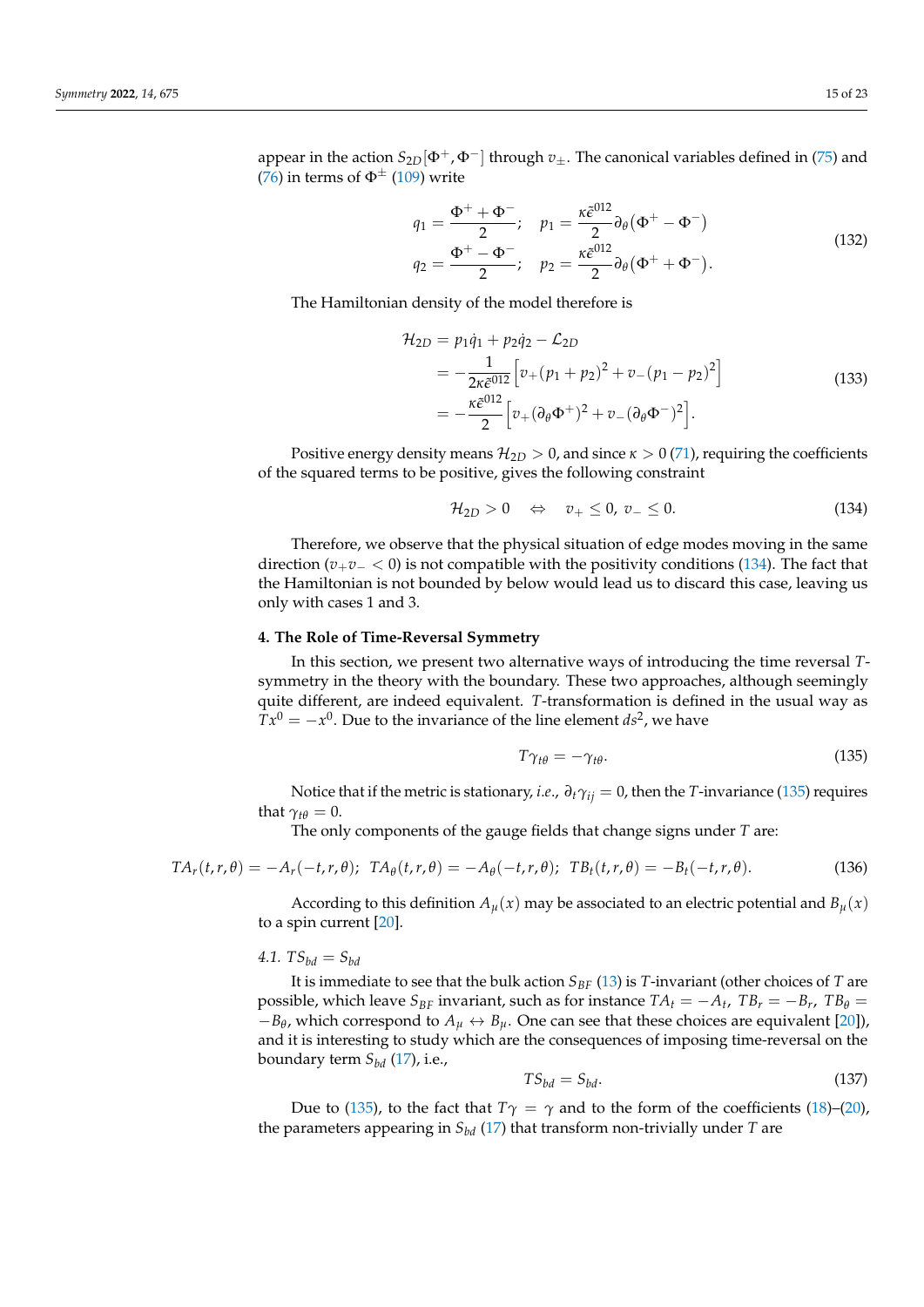appear in the action  $S_{2D}[\Phi^+, \Phi^-]$  through  $v_{\pm}$ . The canonical variables defined in [\(75\)](#page-9-0) and [\(76\)](#page-9-1) in terms of  $\Phi^{\pm}$  [\(109\)](#page-12-4) write

$$
q_1 = \frac{\Phi^+ + \Phi^-}{2}; \quad p_1 = \frac{\kappa \tilde{\epsilon}^{012}}{2} \partial_\theta (\Phi^+ - \Phi^-)
$$
  
\n
$$
q_2 = \frac{\Phi^+ - \Phi^-}{2}; \quad p_2 = \frac{\kappa \tilde{\epsilon}^{012}}{2} \partial_\theta (\Phi^+ + \Phi^-).
$$
\n(132)

The Hamiltonian density of the model therefore is

$$
\mathcal{H}_{2D} = p_1 \dot{q}_1 + p_2 \dot{q}_2 - \mathcal{L}_{2D}
$$
\n
$$
= -\frac{1}{2\kappa \tilde{\epsilon}^{012}} \Big[ v_+ (p_1 + p_2)^2 + v_- (p_1 - p_2)^2 \Big]
$$
\n
$$
= -\frac{\kappa \tilde{\epsilon}^{012}}{2} \Big[ v_+ (\partial_\theta \Phi^+)^2 + v_- (\partial_\theta \Phi^-)^2 \Big].
$$
\n(133)

Positive energy density means  $\mathcal{H}_{2D} > 0$ , and since  $\kappa > 0$  [\(71\)](#page-8-6), requiring the coefficients of the squared terms to be positive, gives the following constraint

<span id="page-14-1"></span>
$$
\mathcal{H}_{2D} > 0 \quad \Leftrightarrow \quad v_+ \leq 0, \ v_- \leq 0. \tag{134}
$$

Therefore, we observe that the physical situation of edge modes moving in the same direction ( $v_+v_- < 0$ ) is not compatible with the positivity conditions [\(134\)](#page-14-1). The fact that the Hamiltonian is not bounded by below would lead us to discard this case, leaving us only with cases 1 and 3.

## <span id="page-14-0"></span>**4. The Role of Time-Reversal Symmetry**

In this section, we present two alternative ways of introducing the time reversal *T*symmetry in the theory with the boundary. These two approaches, although seemingly quite different, are indeed equivalent. *T*-transformation is defined in the usual way as  $Tx^0 = -x^0$ . Due to the invariance of the line element  $ds^2$ , we have

<span id="page-14-2"></span>
$$
T\gamma_{t\theta} = -\gamma_{t\theta}.\tag{135}
$$

Notice that if the metric is stationary, *i.e.*,  $\partial_t \gamma_{ij} = 0$ , then the *T*-invariance [\(135\)](#page-14-2) requires that  $\gamma_{t\theta} = 0$ .

The only components of the gauge fields that change signs under *T* are:

<span id="page-14-4"></span>
$$
TA_r(t,r,\theta) = -A_r(-t,r,\theta); TA_\theta(t,r,\theta) = -A_\theta(-t,r,\theta); TB_t(t,r,\theta) = -B_t(-t,r,\theta).
$$
\n(136)

According to this definition  $A<sub>u</sub>(x)$  may be associated to an electric potential and  $B<sub>u</sub>(x)$ to a spin current [\[20\]](#page-21-3).

# 4.1.  $TS_{bd} = S_{bd}$

It is immediate to see that the bulk action  $S_{BF}$  [\(13\)](#page-3-5) is *T*-invariant (other choices of *T* are possible, which leave  $S_{BF}$  invariant, such as for instance  $TA_t = -A_t$ ,  $TB_r = -B_r$ ,  $TB_\theta =$  $-B$ *θ*, which correspond to  $A$ <sup>*µ*</sup> ↔ *B*<sup>*µ*</sup>. One can see that these choices are equivalent [\[20\]](#page-21-3)), and it is interesting to study which are the consequences of imposing time-reversal on the boundary term *Sbd* [\(17\)](#page-4-6), i.e.,

<span id="page-14-3"></span>
$$
TS_{bd} = S_{bd}.\tag{137}
$$

Due to [\(135\)](#page-14-2), to the fact that  $T\gamma = \gamma$  and to the form of the coefficients [\(18\)](#page-4-8)–[\(20\)](#page-4-8), the parameters appearing in *Sbd* [\(17\)](#page-4-6) that transform non-trivially under *T* are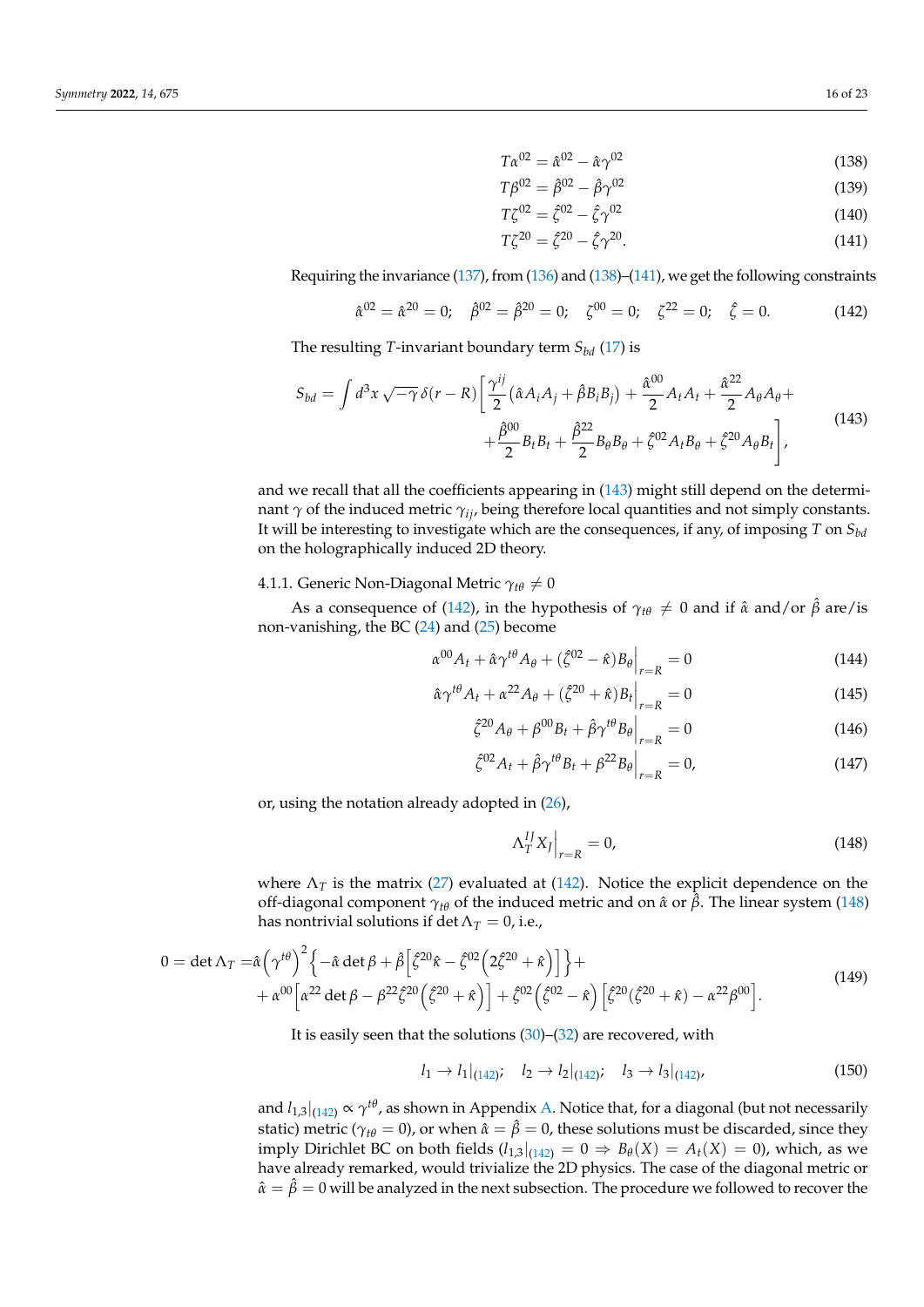<span id="page-15-0"></span>
$$
T\alpha^{02} = \hat{\alpha}^{02} - \hat{\alpha}\gamma^{02} \tag{138}
$$

$$
T\beta^{02} = \hat{\beta}^{02} - \hat{\beta}\gamma^{02} \tag{139}
$$

$$
T\zeta^{02} = \hat{\zeta}^{02} - \hat{\zeta}\gamma^{02}
$$
 (140)

<span id="page-15-1"></span>
$$
T\zeta^{20} = \hat{\zeta}^{20} - \hat{\zeta}\gamma^{20}.
$$
 (141)

Requiring the invariance [\(137\)](#page-14-3), from [\(136\)](#page-14-4) and [\(138\)](#page-15-0)–[\(141\)](#page-15-1), we get the following constraints

<span id="page-15-3"></span>
$$
\hat{\alpha}^{02} = \hat{\alpha}^{20} = 0; \quad \hat{\beta}^{02} = \hat{\beta}^{20} = 0; \quad \zeta^{00} = 0; \quad \zeta^{22} = 0; \quad \hat{\zeta} = 0. \tag{142}
$$

The resulting *T*-invariant boundary term  $S_{bd}$  [\(17\)](#page-4-6) is

<span id="page-15-2"></span>
$$
S_{bd} = \int d^3x \sqrt{-\gamma} \, \delta(r - R) \left[ \frac{\gamma^{ij}}{2} \left( \hat{\alpha} A_i A_j + \hat{\beta} B_i B_j \right) + \frac{\hat{\alpha}^{00}}{2} A_t A_t + \frac{\hat{\alpha}^{22}}{2} A_\theta A_\theta + \right. \\
\left. + \frac{\hat{\beta}^{00}}{2} B_t B_t + \frac{\hat{\beta}^{22}}{2} B_\theta B_\theta + \hat{\zeta}^{02} A_t B_\theta + \hat{\zeta}^{20} A_\theta B_t \right],
$$
\n(143)

and we recall that all the coefficients appearing in [\(143\)](#page-15-2) might still depend on the determinant *γ* of the induced metric *γij*, being therefore local quantities and not simply constants. It will be interesting to investigate which are the consequences, if any, of imposing *T* on *Sbd* on the holographically induced 2D theory.

# **4.1.1. Generic Non-Diagonal Metric**  $γ$ <sub>*t*θ</sub>  $≠$  0

As a consequence of [\(142\)](#page-15-3), in the hypothesis of  $\gamma_{t\theta} \neq 0$  and if  $\hat{\alpha}$  and/or  $\hat{\beta}$  are/is non-vanishing, the BC [\(24\)](#page-4-3) and [\(25\)](#page-4-4) become

$$
\alpha^{00} A_t + \hat{\alpha} \gamma^{t\theta} A_\theta + (\hat{\zeta}^{02} - \hat{\kappa}) B_\theta \Big|_{r=R} = 0 \tag{144}
$$

$$
\left.\hat{\alpha}\gamma^{t\theta}A_t + \alpha^{22}A_\theta + \left(\hat{\zeta}^{20} + \hat{\kappa}\right)B_t\right|_{r=R} = 0\tag{145}
$$

<span id="page-15-6"></span>
$$
\left.\xi^{20}A_{\theta} + \beta^{00}B_{t} + \hat{\beta}\gamma^{t\theta}B_{\theta}\right|_{r=R} = 0\tag{146}
$$

$$
\hat{\zeta}^{02} A_t + \hat{\beta} \gamma^{t\theta} B_t + \beta^{22} B_\theta \Big|_{r=R} = 0, \qquad (147)
$$

or, using the notation already adopted in [\(26\)](#page-4-5),

<span id="page-15-7"></span><span id="page-15-4"></span>
$$
\Lambda_T^{IJ} X_J \Big|_{r=R} = 0,\tag{148}
$$

where  $\Lambda_T$  is the matrix [\(27\)](#page-4-9) evaluated at [\(142\)](#page-15-3). Notice the explicit dependence on the off-diagonal component *<sup>γ</sup>t<sup>θ</sup>* of the induced metric and on *<sup>α</sup>*<sup>ˆ</sup> or *<sup>β</sup>*ˆ. The linear system [\(148\)](#page-15-4) has nontrivial solutions if det  $\Lambda_T = 0$ , i.e.,

$$
0 = \det \Lambda_T = \hat{\alpha} \left( \gamma^{t\theta} \right)^2 \left\{ -\hat{\alpha} \det \beta + \hat{\beta} \left[ \hat{\zeta}^{20} \hat{\kappa} - \hat{\zeta}^{02} \left( 2 \hat{\zeta}^{20} + \hat{\kappa} \right) \right] \right\} + + \alpha^{00} \left[ \alpha^{22} \det \beta - \beta^{22} \hat{\zeta}^{20} \left( \hat{\zeta}^{20} + \hat{\kappa} \right) \right] + \hat{\zeta}^{02} \left( \hat{\zeta}^{02} - \hat{\kappa} \right) \left[ \hat{\zeta}^{20} (\hat{\zeta}^{20} + \hat{\kappa}) - \alpha^{22} \beta^{00} \right].
$$
 (149)

It is easily seen that the solutions [\(30\)](#page-5-4)–[\(32\)](#page-5-5) are recovered, with

<span id="page-15-5"></span>
$$
l_1 \to l_1|_{(142)}; \quad l_2 \to l_2|_{(142)}; \quad l_3 \to l_3|_{(142)}.
$$
\n
$$
(150)
$$

and  $l_{1,3}|_{(142)} \propto \gamma^{t\theta}$  $l_{1,3}|_{(142)} \propto \gamma^{t\theta}$  $l_{1,3}|_{(142)} \propto \gamma^{t\theta}$ , as shown in Appendix [A.](#page-19-0) Notice that, for a diagonal (but not necessarily static) metric ( $\gamma_{t\theta} = 0$ ), or when  $\hat{\alpha} = \hat{\beta} = 0$ , these solutions must be discarded, since they imply Dirichlet BC on both fields  $(l_{1,3}|_{(142)} = 0 \Rightarrow B_{\theta}(X) = A_t(X) = 0$  $(l_{1,3}|_{(142)} = 0 \Rightarrow B_{\theta}(X) = A_t(X) = 0$  $(l_{1,3}|_{(142)} = 0 \Rightarrow B_{\theta}(X) = A_t(X) = 0$ , which, as we have already remarked, would trivialize the 2D physics. The case of the diagonal metric or  $\hat{\alpha} = \hat{\beta} = 0$  will be analyzed in the next subsection. The procedure we followed to recover the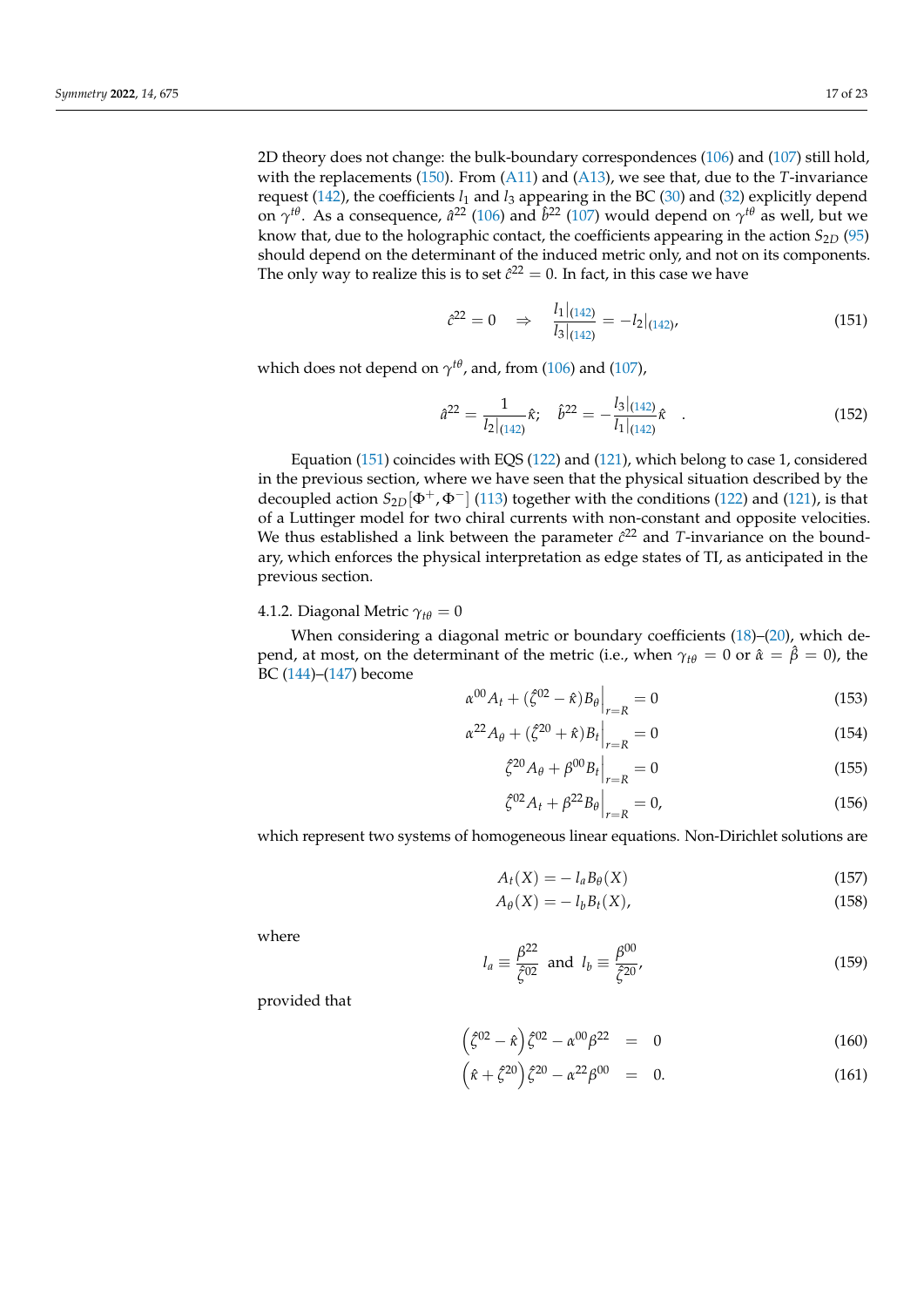2D theory does not change: the bulk-boundary correspondences [\(106\)](#page-11-6) and [\(107\)](#page-11-7) still hold, with the replacements [\(150\)](#page-15-5). From [\(A11\)](#page-20-10) and [\(A13\)](#page-20-11), we see that, due to the *T*-invariance request [\(142\)](#page-15-3), the coefficients *l*<sup>1</sup> and *l*<sup>3</sup> appearing in the BC [\(30\)](#page-5-4) and [\(32\)](#page-5-5) explicitly depend on  $\gamma^{t\theta}$ . As a consequence,  $\hat{a}^{22}$  [\(106\)](#page-11-6) and  $\hat{b}^{22}$  [\(107\)](#page-11-7) would depend on  $\gamma^{t\theta}$  as well, but we know that, due to the holographic contact, the coefficients appearing in the action *S*2*<sup>D</sup>* [\(95\)](#page-10-5) should depend on the determinant of the induced metric only, and not on its components. The only way to realize this is to set  $\hat{c}^{22} = 0$ . In fact, in this case we have

<span id="page-16-0"></span>
$$
\hat{c}^{22} = 0 \quad \Rightarrow \quad \frac{l_1|_{(142)}}{l_3|_{(142)}} = -l_2|_{(142)},\tag{151}
$$

which does not depend on  $\gamma^{t\theta}$ , and, from [\(106\)](#page-11-6) and [\(107\)](#page-11-7),

$$
\hat{a}^{22} = \frac{1}{l_2|_{(142)}}\hat{\kappa}; \quad \hat{b}^{22} = -\frac{l_3|_{(142)}}{l_1|_{(142)}}\hat{\kappa} \quad . \tag{152}
$$

Equation [\(151\)](#page-16-0) coincides with EQS [\(122\)](#page-13-0) and [\(121\)](#page-13-0), which belong to case 1, considered in the previous section, where we have seen that the physical situation described by the decoupled action  $S_{2D}[\Phi^+, \Phi^-]$  [\(113\)](#page-12-2) together with the conditions [\(122\)](#page-13-0) and [\(121\)](#page-13-0), is that of a Luttinger model for two chiral currents with non-constant and opposite velocities. We thus established a link between the parameter  $\hat{c}^{22}$  and T-invariance on the boundary, which enforces the physical interpretation as edge states of TI, as anticipated in the previous section.

### 4.1.2. Diagonal Metric  $\gamma_{t\theta} = 0$

When considering a diagonal metric or boundary coefficients [\(18\)](#page-4-8)–[\(20\)](#page-4-8), which depend, at most, on the determinant of the metric (i.e., when  $\gamma_{t\theta} = 0$  or  $\hat{\alpha} = \hat{\beta} = 0$ ), the BC [\(144\)](#page-15-6)–[\(147\)](#page-15-7) become

$$
\alpha^{00} A_t + (\hat{\zeta}^{02} - \hat{\kappa}) B_\theta \Big|_{r=R} = 0 \tag{153}
$$

$$
\alpha^{22} A_{\theta} + (\zeta^{20} + \hat{\kappa}) B_t \Big|_{r=R} = 0 \tag{154}
$$

$$
\left. \tilde{\zeta}^{20} A_{\theta} + \beta^{00} B_{t} \right|_{r=R} = 0 \tag{155}
$$

<span id="page-16-1"></span>
$$
\hat{\zeta}^{02} A_t + \beta^{22} B_\theta \Big|_{r=R} = 0, \tag{156}
$$

which represent two systems of homogeneous linear equations. Non-Dirichlet solutions are

<span id="page-16-2"></span>
$$
A_t(X) = -l_a B_\theta(X) \tag{157}
$$

$$
A_{\theta}(X) = -l_b B_t(X), \qquad (158)
$$

where

$$
l_a \equiv \frac{\beta^{22}}{\hat{\zeta}^{02}} \text{ and } l_b \equiv \frac{\beta^{00}}{\hat{\zeta}^{20}}, \tag{159}
$$

provided that

$$
\left(\hat{\zeta}^{02} - \hat{\kappa}\right)\hat{\zeta}^{02} - \alpha^{00}\beta^{22} = 0 \tag{160}
$$

$$
(\hat{\kappa} + \hat{\zeta}^{20})\hat{\zeta}^{20} - \alpha^{22}\beta^{00} = 0.
$$
 (161)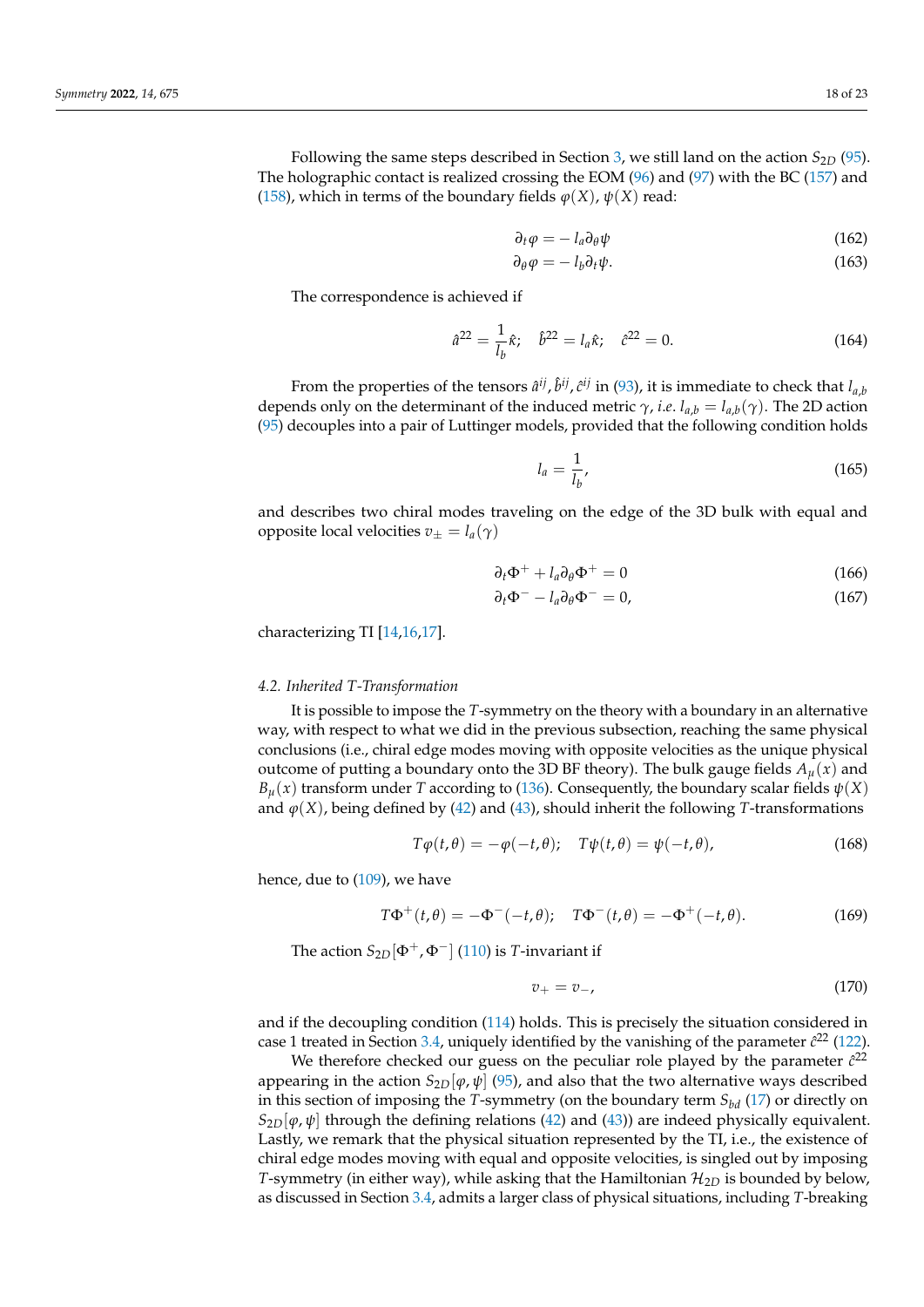Following the same steps described in Section [3,](#page-8-0) we still land on the action *S*<sub>2*D*</sub> [\(95\)](#page-10-5). The holographic contact is realized crossing the EOM [\(96\)](#page-10-3) and [\(97\)](#page-10-4) with the BC [\(157\)](#page-16-1) and [\(158\)](#page-16-2), which in terms of the boundary fields  $\varphi(X)$ ,  $\psi(X)$  read:

$$
\partial_t \varphi = -l_a \partial_\theta \psi \tag{162}
$$

$$
\partial_{\theta} \varphi = -l_{b} \partial_{t} \psi. \tag{163}
$$

The correspondence is achieved if

$$
\hat{a}^{22} = \frac{1}{l_b} \hat{\kappa}; \quad \hat{b}^{22} = l_a \hat{\kappa}; \quad \hat{c}^{22} = 0.
$$
 (164)

From the properties of the tensors  $\hat{a}^{ij}$ ,  $\hat{b}^{ij}$ ,  $\hat{c}^{ij}$  in [\(93\)](#page-10-2), it is immediate to check that  $l_{a,b}$ depends only on the determinant of the induced metric  $\gamma$ , *i.e.*  $l_{a,b} = l_{a,b}(\gamma)$ . The 2D action [\(95\)](#page-10-5) decouples into a pair of Luttinger models, provided that the following condition holds

$$
l_a = \frac{1}{l_b},\tag{165}
$$

and describes two chiral modes traveling on the edge of the 3D bulk with equal and opposite local velocities  $v_{\pm} = l_a(\gamma)$ 

$$
\partial_t \Phi^+ + l_a \partial_\theta \Phi^+ = 0 \tag{166}
$$

$$
\partial_t \Phi^- - l_a \partial_\theta \Phi^- = 0,\tag{167}
$$

characterizing TI [\[14,](#page-21-29)[16,](#page-21-1)[17\]](#page-21-2).

### *4.2. Inherited T-Transformation*

It is possible to impose the *T*-symmetry on the theory with a boundary in an alternative way, with respect to what we did in the previous subsection, reaching the same physical conclusions (i.e., chiral edge modes moving with opposite velocities as the unique physical outcome of putting a boundary onto the 3D BF theory). The bulk gauge fields  $A_\mu(x)$  and  $B_{\mu}(x)$  transform under *T* according to [\(136\)](#page-14-4). Consequently, the boundary scalar fields  $\psi(X)$ and  $\varphi(X)$ , being defined by [\(42\)](#page-6-1) and [\(43\)](#page-6-2), should inherit the following *T*-transformations

$$
T\varphi(t,\theta) = -\varphi(-t,\theta); \quad T\psi(t,\theta) = \psi(-t,\theta), \tag{168}
$$

hence, due to [\(109\)](#page-12-4), we have

$$
T\Phi^+(t,\theta) = -\Phi^-(-t,\theta); \quad T\Phi^-(t,\theta) = -\Phi^+(-t,\theta). \tag{169}
$$

The action  $S_{2D}[\Phi^+, \Phi^-]$  [\(110\)](#page-12-0) is *T*-invariant if

$$
v_+ = v_-,\tag{170}
$$

and if the decoupling condition [\(114\)](#page-12-5) holds. This is precisely the situation considered in case 1 treated in Section [3.4,](#page-11-8) uniquely identified by the vanishing of the parameter  $\hat{c}^{22}$  [\(122\)](#page-13-0).

We therefore checked our guess on the peculiar role played by the parameter  $\hat{c}^{22}$ appearing in the action  $S_{2D}[\varphi, \psi]$  [\(95\)](#page-10-5), and also that the two alternative ways described in this section of imposing the *T*-symmetry (on the boundary term  $S_{bd}$  [\(17\)](#page-4-6) or directly on  $S_{2D}[\varphi,\psi]$  through the defining relations [\(42\)](#page-6-1) and [\(43\)](#page-6-2)) are indeed physically equivalent. Lastly, we remark that the physical situation represented by the TI, i.e., the existence of chiral edge modes moving with equal and opposite velocities, is singled out by imposing *T*-symmetry (in either way), while asking that the Hamiltonian  $\mathcal{H}_{2D}$  is bounded by below, as discussed in Section [3.4,](#page-11-8) admits a larger class of physical situations, including *T*-breaking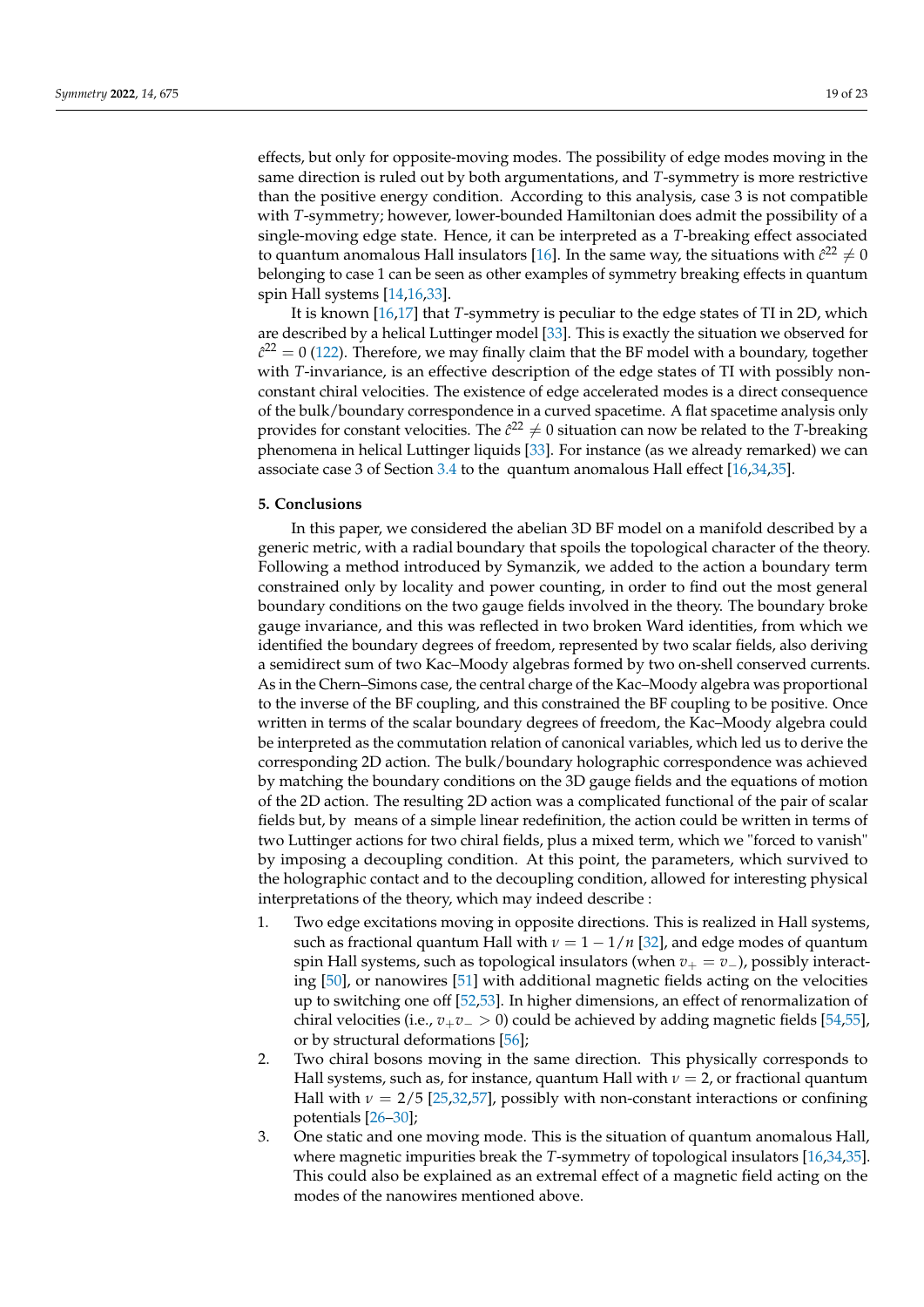effects, but only for opposite-moving modes. The possibility of edge modes moving in the same direction is ruled out by both argumentations, and *T*-symmetry is more restrictive than the positive energy condition. According to this analysis, case 3 is not compatible with *T*-symmetry; however, lower-bounded Hamiltonian does admit the possibility of a single-moving edge state. Hence, it can be interpreted as a *T*-breaking effect associated to quantum anomalous Hall insulators [\[16\]](#page-21-1). In the same way, the situations with  $\hat{c}^{22}\neq 0$ belonging to case 1 can be seen as other examples of symmetry breaking effects in quantum spin Hall systems [\[14,](#page-21-29)[16,](#page-21-1)[33\]](#page-21-13).

It is known [\[16](#page-21-1)[,17\]](#page-21-2) that *T*-symmetry is peculiar to the edge states of TI in 2D, which are described by a helical Luttinger model [\[33\]](#page-21-13). This is exactly the situation we observed for  $\hat{c}^{22} = 0$  [\(122\)](#page-13-0). Therefore, we may finally claim that the BF model with a boundary, together with *T*-invariance, is an effective description of the edge states of TI with possibly nonconstant chiral velocities. The existence of edge accelerated modes is a direct consequence of the bulk/boundary correspondence in a curved spacetime. A flat spacetime analysis only provides for constant velocities. The  $\hat{c}^{22}\neq 0$  situation can now be related to the *T*-breaking phenomena in helical Luttinger liquids [\[33\]](#page-21-13). For instance (as we already remarked) we can associate case 3 of Section [3.4](#page-11-8) to the quantum anomalous Hall effect [\[16](#page-21-1)[,34](#page-21-14)[,35\]](#page-21-15).

## <span id="page-18-0"></span>**5. Conclusions**

In this paper, we considered the abelian 3D BF model on a manifold described by a generic metric, with a radial boundary that spoils the topological character of the theory. Following a method introduced by Symanzik, we added to the action a boundary term constrained only by locality and power counting, in order to find out the most general boundary conditions on the two gauge fields involved in the theory. The boundary broke gauge invariance, and this was reflected in two broken Ward identities, from which we identified the boundary degrees of freedom, represented by two scalar fields, also deriving a semidirect sum of two Kac–Moody algebras formed by two on-shell conserved currents. As in the Chern–Simons case, the central charge of the Kac–Moody algebra was proportional to the inverse of the BF coupling, and this constrained the BF coupling to be positive. Once written in terms of the scalar boundary degrees of freedom, the Kac–Moody algebra could be interpreted as the commutation relation of canonical variables, which led us to derive the corresponding 2D action. The bulk/boundary holographic correspondence was achieved by matching the boundary conditions on the 3D gauge fields and the equations of motion of the 2D action. The resulting 2D action was a complicated functional of the pair of scalar fields but, by means of a simple linear redefinition, the action could be written in terms of two Luttinger actions for two chiral fields, plus a mixed term, which we "forced to vanish" by imposing a decoupling condition. At this point, the parameters, which survived to the holographic contact and to the decoupling condition, allowed for interesting physical interpretations of the theory, which may indeed describe :

- 1. Two edge excitations moving in opposite directions. This is realized in Hall systems, such as fractional quantum Hall with  $\nu = 1 - 1/n$  [\[32\]](#page-21-12), and edge modes of quantum spin Hall systems, such as topological insulators (when *v*<sup>+</sup> = *v*−), possibly interacting [\[50\]](#page-22-0), or nanowires [\[51\]](#page-22-1) with additional magnetic fields acting on the velocities up to switching one off [\[52](#page-22-2)[,53\]](#page-22-3). In higher dimensions, an effect of renormalization of chiral velocities (i.e.,  $v_+v_-\geq 0$ ) could be achieved by adding magnetic fields [\[54](#page-22-4)[,55\]](#page-22-5), or by structural deformations [\[56\]](#page-22-6);
- 2. Two chiral bosons moving in the same direction. This physically corresponds to Hall systems, such as, for instance, quantum Hall with  $\nu = 2$ , or fractional quantum Hall with  $\nu = 2/5$  [\[25,](#page-21-8)[32](#page-21-12)[,57\]](#page-22-7), possibly with non-constant interactions or confining potentials [\[26](#page-21-9)[–30\]](#page-21-10);
- 3. One static and one moving mode. This is the situation of quantum anomalous Hall, where magnetic impurities break the *T*-symmetry of topological insulators [\[16](#page-21-1)[,34](#page-21-14)[,35\]](#page-21-15). This could also be explained as an extremal effect of a magnetic field acting on the modes of the nanowires mentioned above.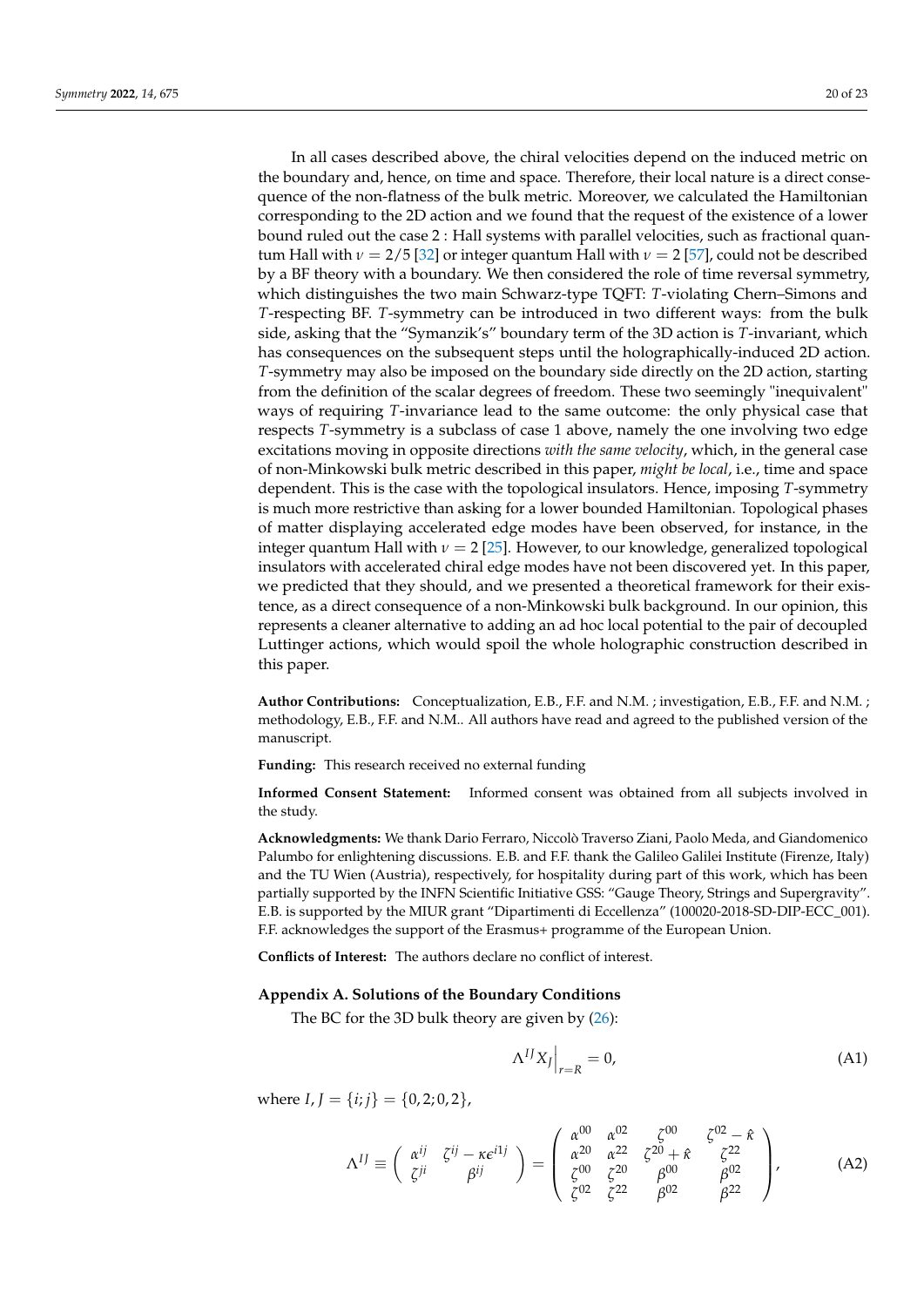In all cases described above, the chiral velocities depend on the induced metric on the boundary and, hence, on time and space. Therefore, their local nature is a direct consequence of the non-flatness of the bulk metric. Moreover, we calculated the Hamiltonian corresponding to the 2D action and we found that the request of the existence of a lower bound ruled out the case 2 : Hall systems with parallel velocities, such as fractional quantum Hall with  $\nu = 2/5$  [\[32\]](#page-21-12) or integer quantum Hall with  $\nu = 2$  [\[57\]](#page-22-7), could not be described by a BF theory with a boundary. We then considered the role of time reversal symmetry, which distinguishes the two main Schwarz-type TQFT: *T*-violating Chern–Simons and *T*-respecting BF. *T*-symmetry can be introduced in two different ways: from the bulk side, asking that the "Symanzik's" boundary term of the 3D action is *T*-invariant, which has consequences on the subsequent steps until the holographically-induced 2D action. *T*-symmetry may also be imposed on the boundary side directly on the 2D action, starting from the definition of the scalar degrees of freedom. These two seemingly "inequivalent" ways of requiring *T*-invariance lead to the same outcome: the only physical case that respects *T*-symmetry is a subclass of case 1 above, namely the one involving two edge excitations moving in opposite directions *with the same velocity*, which, in the general case of non-Minkowski bulk metric described in this paper, *might be local*, i.e., time and space dependent. This is the case with the topological insulators. Hence, imposing *T*-symmetry is much more restrictive than asking for a lower bounded Hamiltonian. Topological phases of matter displaying accelerated edge modes have been observed, for instance, in the integer quantum Hall with  $\nu = 2$  [\[25\]](#page-21-8). However, to our knowledge, generalized topological insulators with accelerated chiral edge modes have not been discovered yet. In this paper, we predicted that they should, and we presented a theoretical framework for their existence, as a direct consequence of a non-Minkowski bulk background. In our opinion, this represents a cleaner alternative to adding an ad hoc local potential to the pair of decoupled Luttinger actions, which would spoil the whole holographic construction described in this paper.

**Author Contributions:** Conceptualization, E.B., F.F. and N.M. ; investigation, E.B., F.F. and N.M. ; methodology, E.B., F.F. and N.M.. All authors have read and agreed to the published version of the manuscript.

**Funding:** This research received no external funding

**Informed Consent Statement:** Informed consent was obtained from all subjects involved in the study.

**Acknowledgments:** We thank Dario Ferraro, Niccolò Traverso Ziani, Paolo Meda, and Giandomenico Palumbo for enlightening discussions. E.B. and F.F. thank the Galileo Galilei Institute (Firenze, Italy) and the TU Wien (Austria), respectively, for hospitality during part of this work, which has been partially supported by the INFN Scientific Initiative GSS: "Gauge Theory, Strings and Supergravity". E.B. is supported by the MIUR grant "Dipartimenti di Eccellenza" (100020-2018-SD-DIP-ECC\_001). F.F. acknowledges the support of the Erasmus+ programme of the European Union.

**Conflicts of Interest:** The authors declare no conflict of interest.

### <span id="page-19-0"></span>**Appendix A. Solutions of the Boundary Conditions**

The BC for the 3D bulk theory are given by [\(26\)](#page-4-5):

$$
\Lambda^{IJ} X_J \Big|_{r=R} = 0,\tag{A1}
$$

where  $I, J = \{i, j\} = \{0, 2; 0, 2\},\$ 

$$
\Lambda^{IJ} \equiv \begin{pmatrix} \alpha^{ij} & \zeta^{ij} - \kappa \epsilon^{i1j} \\ \zeta^{ji} & \beta^{ij} \end{pmatrix} = \begin{pmatrix} \alpha^{00} & \alpha^{02} & \zeta^{00} & \zeta^{02} - \hat{\kappa} \\ \alpha^{20} & \alpha^{22} & \zeta^{20} + \hat{\kappa} & \zeta^{22} \\ \zeta^{00} & \zeta^{20} & \beta^{00} & \beta^{02} \\ \zeta^{02} & \zeta^{22} & \beta^{02} & \beta^{22} \end{pmatrix},
$$
(A2)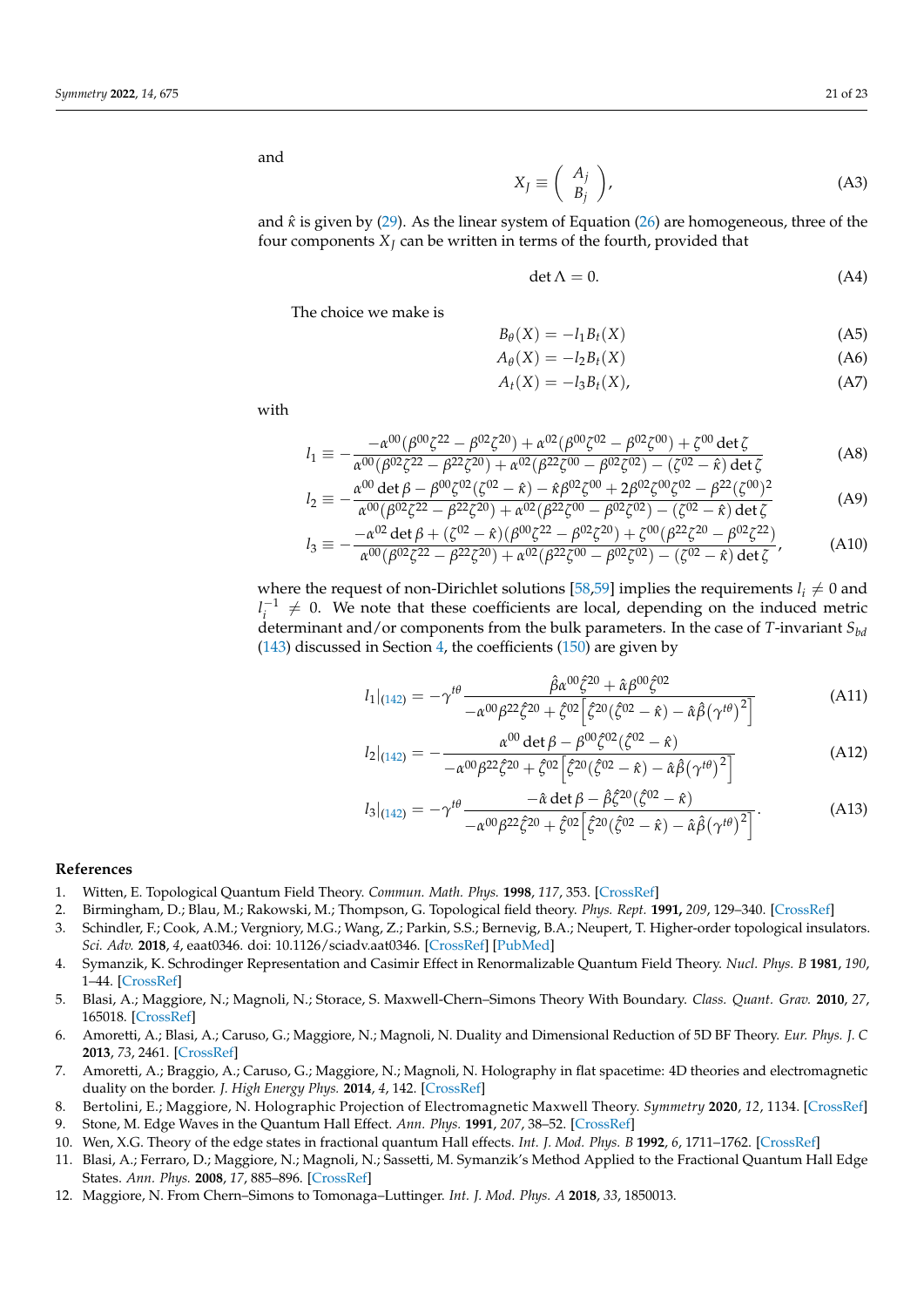<span id="page-20-8"></span>

and

$$
X_J \equiv \left(\begin{array}{c} A_j \\ B_j \end{array}\right),\tag{A3}
$$

and  $\hat{\kappa}$  is given by [\(29\)](#page-4-7). As the linear system of Equation [\(26\)](#page-4-5) are homogeneous, three of the four components *X<sup>J</sup>* can be written in terms of the fourth, provided that

$$
\det \Lambda = 0. \tag{A4}
$$

The choice we make is

$$
B_{\theta}(X) = -l_1 B_t(X) \tag{A5}
$$

$$
A_{\theta}(X) = -l_2 B_t(X) \tag{A6}
$$

<span id="page-20-10"></span><span id="page-20-9"></span>
$$
A_t(X) = -l_3 B_t(X), \tag{A7}
$$

with

$$
l_1 \equiv -\frac{-\alpha^{00}(\beta^{00}\zeta^{22} - \beta^{02}\zeta^{20}) + \alpha^{02}(\beta^{00}\zeta^{02} - \beta^{02}\zeta^{00}) + \zeta^{00}\det\zeta}{\alpha^{00}(\beta^{02}\zeta^{22} - \beta^{22}\zeta^{20}) + \alpha^{02}(\beta^{22}\zeta^{00} - \beta^{02}\zeta^{02}) - (\zeta^{02} - \hat{\kappa})\det\zeta}
$$
(A8)

$$
l_2 \equiv -\frac{\alpha^{00} \det \beta - \beta^{00} \zeta^{02} (\zeta^{02} - \hat{\kappa}) - \hat{\kappa} \beta^{02} \zeta^{00} + 2\beta^{02} \zeta^{00} \zeta^{02} - \beta^{22} (\zeta^{00})^2}{\alpha^{00} (\beta^{02} \zeta^{22} - \beta^{22} \zeta^{20}) + \alpha^{02} (\beta^{22} \zeta^{00} - \beta^{02} \zeta^{02}) - (\zeta^{02} - \hat{\kappa}) \det \zeta}
$$
(A9)

$$
l_3 \equiv -\frac{-\alpha^{02} \det \beta + (\zeta^{02} - \hat{\kappa})(\beta^{00} \zeta^{22} - \beta^{02} \zeta^{20}) + \zeta^{00} (\beta^{22} \zeta^{20} - \beta^{02} \zeta^{22})}{\alpha^{00} (\beta^{02} \zeta^{22} - \beta^{22} \zeta^{20}) + \alpha^{02} (\beta^{22} \zeta^{00} - \beta^{02} \zeta^{02}) - (\zeta^{02} - \hat{\kappa}) \det \zeta},
$$
(A10)

where the request of non-Dirichlet solutions [\[58](#page-22-8)[,59\]](#page-22-9) implies the requirements  $l_i \neq 0$  and  $l_i^{-1} \neq 0$ . We note that these coefficients are local, depending on the induced metric determinant and/or components from the bulk parameters. In the case of *T*-invariant *Sbd*  $(143)$  discussed in Section [4,](#page-14-0) the coefficients  $(150)$  are given by

$$
l_1|_{(142)} = -\gamma^{t\theta} \frac{\hat{\beta}\alpha^{00}\hat{\zeta}^{20} + \hat{\alpha}\beta^{00}\hat{\zeta}^{02}}{-\alpha^{00}\beta^{22}\hat{\zeta}^{20} + \hat{\zeta}^{02}\left[\hat{\zeta}^{20}(\hat{\zeta}^{02} - \hat{\kappa}) - \hat{\alpha}\hat{\beta}(\gamma^{t\theta})^2\right]}
$$
(A11)

$$
l_2|_{(142)} = -\frac{\alpha^{00} \det \beta - \beta^{00} \hat{\zeta}^{02} (\hat{\zeta}^{02} - \hat{\kappa})}{-\alpha^{00} \beta^{22} \hat{\zeta}^{20} + \hat{\zeta}^{02} \left[ \hat{\zeta}^{20} (\hat{\zeta}^{02} - \hat{\kappa}) - \hat{\alpha} \hat{\beta} (\gamma^{t\theta})^2 \right]}
$$
(A12)

<span id="page-20-11"></span>
$$
I_3|_{(142)} = -\gamma^{t\theta} \frac{-\hat{\alpha} \det \beta - \hat{\beta}\hat{\zeta}^{20}(\hat{\zeta}^{02} - \hat{\kappa})}{-\alpha^{00}\beta^{22}\hat{\zeta}^{20} + \hat{\zeta}^{02} \left[\hat{\zeta}^{20}(\hat{\zeta}^{02} - \hat{\kappa}) - \hat{\alpha}\hat{\beta}(\gamma^{t\theta})^2\right]}.
$$
(A13)

### **References**

- <span id="page-20-0"></span>1. Witten, E. Topological Quantum Field Theory. *Commun. Math. Phys.* **1998**, *117*, 353. [\[CrossRef\]](http://doi.org/10.1007/BF01223371)
- <span id="page-20-1"></span>2. Birmingham, D.; Blau, M.; Rakowski, M.; Thompson, G. Topological field theory. *Phys. Rept.* **1991,** *209*, 129–340. [\[CrossRef\]](http://dx.doi.org/10.1016/0370-1573(91)90117-5)
- <span id="page-20-2"></span>3. Schindler, F.; Cook, A.M.; Vergniory, M.G.; Wang, Z.; Parkin, S.S.; Bernevig, B.A.; Neupert, T. Higher-order topological insulators. *Sci. Adv.* **2018**, *4*, eaat0346. doi: 10.1126/sciadv.aat0346. [\[CrossRef\]](http://dx.doi.org/10.1126/sciadv.aat0346) [\[PubMed\]](http://www.ncbi.nlm.nih.gov/pubmed/29869644)
- <span id="page-20-3"></span>4. Symanzik, K. Schrodinger Representation and Casimir Effect in Renormalizable Quantum Field Theory. *Nucl. Phys. B* **1981**, *190*, 1–44. [\[CrossRef\]](http://dx.doi.org/10.1016/0550-3213(81)90482-X)
- <span id="page-20-4"></span>5. Blasi, A.; Maggiore, N.; Magnoli, N.; Storace, S. Maxwell-Chern–Simons Theory With Boundary. *Class. Quant. Grav.* **2010**, *27*, 165018. [\[CrossRef\]](http://dx.doi.org/10.1088/0264-9381/27/16/165018)
- 6. Amoretti, A.; Blasi, A.; Caruso, G.; Maggiore, N.; Magnoli, N. Duality and Dimensional Reduction of 5D BF Theory. *Eur. Phys. J. C* **2013**, *73*, 2461. [\[CrossRef\]](http://dx.doi.org/10.1140/epjc/s10052-013-2461-3)
- 7. Amoretti, A.; Braggio, A.; Caruso, G.; Maggiore, N.; Magnoli, N. Holography in flat spacetime: 4D theories and electromagnetic duality on the border. *J. High Energy Phys.* **2014**, *4*, 142. [\[CrossRef\]](http://dx.doi.org/10.1007/JHEP04(2014)142)
- <span id="page-20-5"></span>8. Bertolini, E.; Maggiore, N. Holographic Projection of Electromagnetic Maxwell Theory. *Symmetry* **2020**, *12*, 1134. [\[CrossRef\]](http://dx.doi.org/10.3390/sym12071134)
- <span id="page-20-6"></span>9. Stone, M. Edge Waves in the Quantum Hall Effect. *Ann. Phys.* **1991**, *207*, 38–52. [\[CrossRef\]](http://dx.doi.org/10.1016/0003-4916(91)90177-A)
- 10. Wen, X.G. Theory of the edge states in fractional quantum Hall effects. *Int. J. Mod. Phys. B* **1992**, *6*, 1711–1762. [\[CrossRef\]](http://dx.doi.org/10.1142/S0217979292000840)
- 11. Blasi, A.; Ferraro, D.; Maggiore, N.; Magnoli, N.; Sassetti, M. Symanzik's Method Applied to the Fractional Quantum Hall Edge States. *Ann. Phys.* **2008**, *17*, 885–896. [\[CrossRef\]](http://dx.doi.org/10.1002/andp.200810323)
- <span id="page-20-7"></span>12. Maggiore, N. From Chern–Simons to Tomonaga–Luttinger. *Int. J. Mod. Phys. A* **2018**, *33*, 1850013.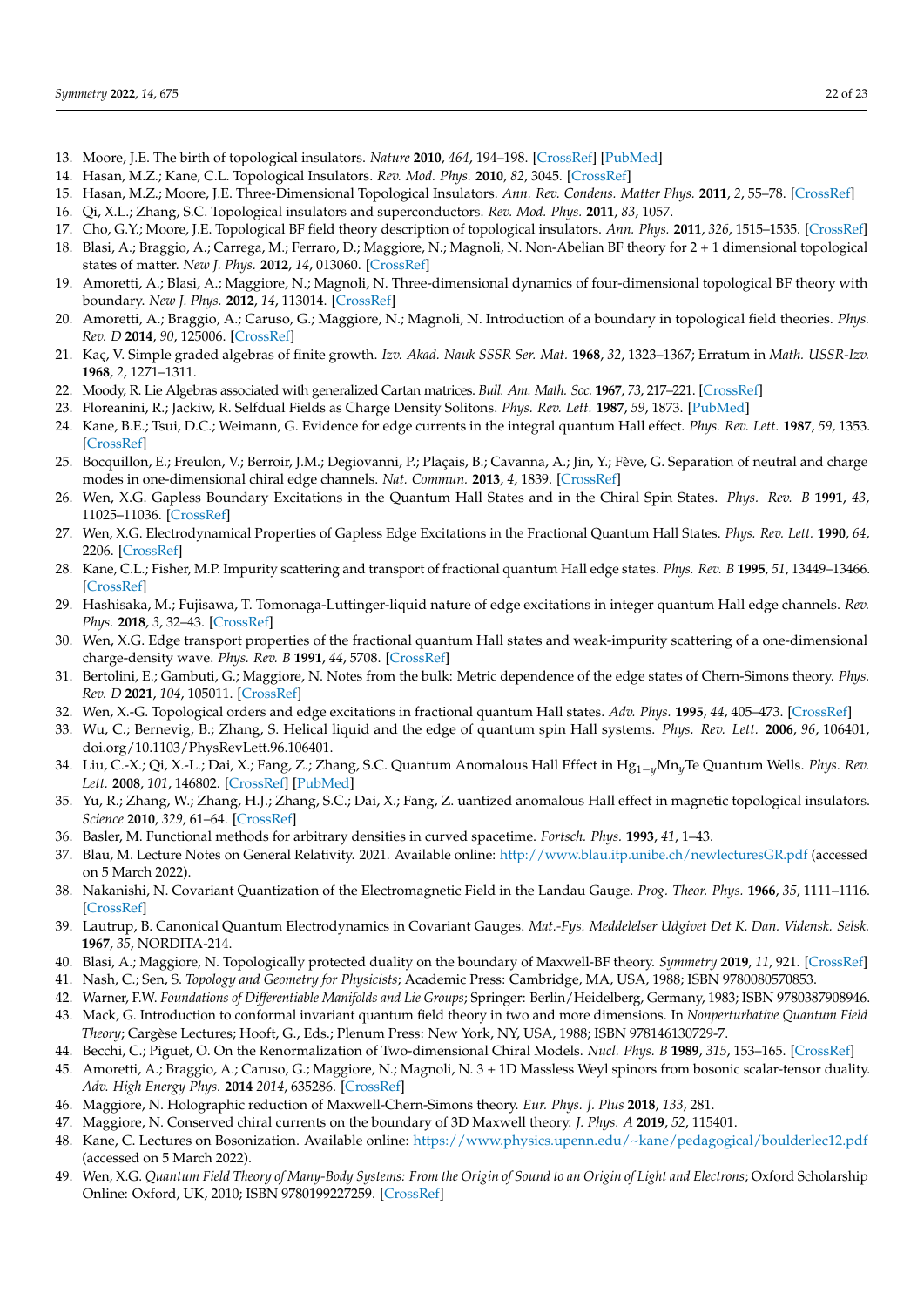- <span id="page-21-0"></span>13. Moore, J.E. The birth of topological insulators. *Nature* **2010**, *464*, 194–198. [\[CrossRef\]](http://dx.doi.org/10.1038/nature08916) [\[PubMed\]](http://www.ncbi.nlm.nih.gov/pubmed/20220837)
- <span id="page-21-29"></span>14. Hasan, M.Z.; Kane, C.L. Topological Insulators. *Rev. Mod. Phys.* **2010**, *82*, 3045. [\[CrossRef\]](http://dx.doi.org/10.1103/RevModPhys.82.3045)
- 15. Hasan, M.Z.; Moore, J.E. Three-Dimensional Topological Insulators. *Ann. Rev. Condens. Matter Phys.* **2011**, *2*, 55–78. [\[CrossRef\]](http://dx.doi.org/10.1146/annurev-conmatphys-062910-140432)
- <span id="page-21-1"></span>16. Qi, X.L.; Zhang, S.C. Topological insulators and superconductors. *Rev. Mod. Phys.* **2011**, *83*, 1057.
- <span id="page-21-2"></span>17. Cho, G.Y.; Moore, J.E. Topological BF field theory description of topological insulators. *Ann. Phys.* **2011**, *326*, 1515–1535. [\[CrossRef\]](http://dx.doi.org/10.1016/j.aop.2010.12.011)
- 18. Blasi, A.; Braggio, A.; Carrega, M.; Ferraro, D.; Maggiore, N.; Magnoli, N. Non-Abelian BF theory for 2 + 1 dimensional topological states of matter. *New J. Phys.* **2012**, *14*, 013060. [\[CrossRef\]](http://dx.doi.org/10.1088/1367-2630/14/1/013060)
- 19. Amoretti, A.; Blasi, A.; Maggiore, N.; Magnoli, N. Three-dimensional dynamics of four-dimensional topological BF theory with boundary. *New J. Phys.* **2012**, *14*, 113014. [\[CrossRef\]](http://dx.doi.org/10.1088/1367-2630/14/11/113014)
- <span id="page-21-3"></span>20. Amoretti, A.; Braggio, A.; Caruso, G.; Maggiore, N.; Magnoli, N. Introduction of a boundary in topological field theories. *Phys. Rev. D* **2014**, *90*, 125006. [\[CrossRef\]](http://dx.doi.org/10.1103/PhysRevD.90.125006)
- <span id="page-21-4"></span>21. Kaç, V. Simple graded algebras of finite growth. *Izv. Akad. Nauk SSSR Ser. Mat.* **1968**, *32*, 1323–1367; Erratum in *Math. USSR-Izv.* **1968**, *2*, 1271–1311.
- <span id="page-21-5"></span>22. Moody, R. Lie Algebras associated with generalized Cartan matrices. *Bull. Am. Math. Soc.* **1967**, *73*, 217–221. [\[CrossRef\]](http://dx.doi.org/10.1090/S0002-9904-1967-11688-4)
- <span id="page-21-6"></span>23. Floreanini, R.; Jackiw, R. Selfdual Fields as Charge Density Solitons. *Phys. Rev. Lett.* **1987**, *59*, 1873. [\[PubMed\]](http://www.ncbi.nlm.nih.gov/pubmed/10035356)
- <span id="page-21-7"></span>24. Kane, B.E.; Tsui, D.C.; Weimann, G. Evidence for edge currents in the integral quantum Hall effect. *Phys. Rev. Lett.* **1987**, *59*, 1353. [\[CrossRef\]](http://dx.doi.org/10.1103/PhysRevLett.59.1353)
- <span id="page-21-8"></span>25. Bocquillon, E.; Freulon, V.; Berroir, J.M.; Degiovanni, P.; Plaçais, B.; Cavanna, A.; Jin, Y.; Fève, G. Separation of neutral and charge modes in one-dimensional chiral edge channels. *Nat. Commun.* **2013**, *4*, 1839. [\[CrossRef\]](http://dx.doi.org/10.1038/ncomms2788)
- <span id="page-21-9"></span>26. Wen, X.G. Gapless Boundary Excitations in the Quantum Hall States and in the Chiral Spin States. *Phys. Rev. B* **1991**, *43*, 11025–11036. [\[CrossRef\]](http://dx.doi.org/10.1103/PhysRevB.43.11025)
- 27. Wen, X.G. Electrodynamical Properties of Gapless Edge Excitations in the Fractional Quantum Hall States. *Phys. Rev. Lett.* **1990**, *64*, 2206. [\[CrossRef\]](http://dx.doi.org/10.1103/PhysRevLett.64.2206)
- 28. Kane, C.L.; Fisher, M.P. Impurity scattering and transport of fractional quantum Hall edge states. *Phys. Rev. B* **1995**, *51*, 13449–13466. [\[CrossRef\]](http://dx.doi.org/10.1103/physrevb.51.13449)
- 29. Hashisaka, M.; Fujisawa, T. Tomonaga-Luttinger-liquid nature of edge excitations in integer quantum Hall edge channels. *Rev. Phys.* **2018**, *3*, 32–43. [\[CrossRef\]](http://dx.doi.org/10.1016/j.revip.2018.07.001)
- <span id="page-21-10"></span>30. Wen, X.G. Edge transport properties of the fractional quantum Hall states and weak-impurity scattering of a one-dimensional charge-density wave. *Phys. Rev. B* **1991**, *44*, 5708. [\[CrossRef\]](http://dx.doi.org/10.1103/PhysRevB.44.5708)
- <span id="page-21-11"></span>31. Bertolini, E.; Gambuti, G.; Maggiore, N. Notes from the bulk: Metric dependence of the edge states of Chern-Simons theory. *Phys. Rev. D* **2021**, *104*, 105011. [\[CrossRef\]](http://dx.doi.org/10.1103/PhysRevD.104.105011)
- <span id="page-21-12"></span>32. Wen, X.-G. Topological orders and edge excitations in fractional quantum Hall states. *Adv. Phys.* **1995**, *44*, 405–473. [\[CrossRef\]](http://dx.doi.org/10.1080/00018739500101566)
- <span id="page-21-13"></span>33. Wu, C.; Bernevig, B.; Zhang, S. Helical liquid and the edge of quantum spin Hall systems. *Phys. Rev. Lett.* **2006**, *96*, 106401, doi.org/10.1103/PhysRevLett.96.106401.
- <span id="page-21-14"></span>34. Liu, C.-X.; Qi, X.-L.; Dai, X.; Fang, Z.; Zhang, S.C. Quantum Anomalous Hall Effect in Hg1−*y*Mn*y*Te Quantum Wells. *Phys. Rev. Lett.* **2008**, *101*, 146802. [\[CrossRef\]](http://dx.doi.org/10.1103/PhysRevLett.101.146802) [\[PubMed\]](http://www.ncbi.nlm.nih.gov/pubmed/18851555)
- <span id="page-21-15"></span>35. Yu, R.; Zhang, W.; Zhang, H.J.; Zhang, S.C.; Dai, X.; Fang, Z. uantized anomalous Hall effect in magnetic topological insulators. *Science* **2010**, *329*, 61–64. [\[CrossRef\]](http://dx.doi.org/10.1126/science.1187485)
- <span id="page-21-16"></span>36. Basler, M. Functional methods for arbitrary densities in curved spacetime. *Fortsch. Phys.* **1993**, *41*, 1–43.
- <span id="page-21-17"></span>37. Blau, M. Lecture Notes on General Relativity. 2021. Available online: <http://www.blau.itp.unibe.ch/newlecturesGR.pdf> (accessed on 5 March 2022).
- <span id="page-21-18"></span>38. Nakanishi, N. Covariant Quantization of the Electromagnetic Field in the Landau Gauge. *Prog. Theor. Phys.* **1966**, *35*, 1111–1116. [\[CrossRef\]](http://dx.doi.org/10.1143/PTP.35.1111)
- <span id="page-21-19"></span>39. Lautrup, B. Canonical Quantum Electrodynamics in Covariant Gauges. *Mat.-Fys. Meddelelser Udgivet Det K. Dan. Vidensk. Selsk.* **1967**, *35*, NORDITA-214.
- <span id="page-21-20"></span>40. Blasi, A.; Maggiore, N. Topologically protected duality on the boundary of Maxwell-BF theory. *Symmetry* **2019**, *11*, 921. [\[CrossRef\]](http://dx.doi.org/10.3390/sym11070921)
- <span id="page-21-21"></span>41. Nash, C.; Sen, S. *Topology and Geometry for Physicists*; Academic Press: Cambridge, MA, USA, 1988; ISBN 9780080570853.
- <span id="page-21-22"></span>42. Warner, F.W. *Foundations of Differentiable Manifolds and Lie Groups*; Springer: Berlin/Heidelberg, Germany, 1983; ISBN 9780387908946.
- <span id="page-21-23"></span>43. Mack, G. Introduction to conformal invariant quantum field theory in two and more dimensions. In *Nonperturbative Quantum Field Theory*; Cargèse Lectures; Hooft, G., Eds.; Plenum Press: New York, NY, USA, 1988; ISBN 978146130729-7.
- <span id="page-21-24"></span>44. Becchi, C.; Piguet, O. On the Renormalization of Two-dimensional Chiral Models. *Nucl. Phys. B* **1989**, *315*, 153–165. [\[CrossRef\]](http://dx.doi.org/10.1016/0550-3213(89)90452-5)
- <span id="page-21-25"></span>45. Amoretti, A.; Braggio, A.; Caruso, G.; Maggiore, N.; Magnoli, N. 3 + 1D Massless Weyl spinors from bosonic scalar-tensor duality. *Adv. High Energy Phys.* **2014** *2014*, 635286. [\[CrossRef\]](http://dx.doi.org/10.1155/2014/635286)
- 46. Maggiore, N. Holographic reduction of Maxwell-Chern-Simons theory. *Eur. Phys. J. Plus* **2018**, *133*, 281.
- <span id="page-21-26"></span>47. Maggiore, N. Conserved chiral currents on the boundary of 3D Maxwell theory. *J. Phys. A* **2019**, *52*, 115401.
- <span id="page-21-27"></span>48. Kane, C. Lectures on Bosonization. Available online: <https://www.physics.upenn.edu/~kane/pedagogical/boulderlec12.pdf> (accessed on 5 March 2022).
- <span id="page-21-28"></span>49. Wen, X.G. *Quantum Field Theory of Many-Body Systems: From the Origin of Sound to an Origin of Light and Electrons*; Oxford Scholarship Online: Oxford, UK, 2010; ISBN 9780199227259. [\[CrossRef\]](http://dx.doi.org/10.1093/acprof:oso/9780199227259.001.0001)